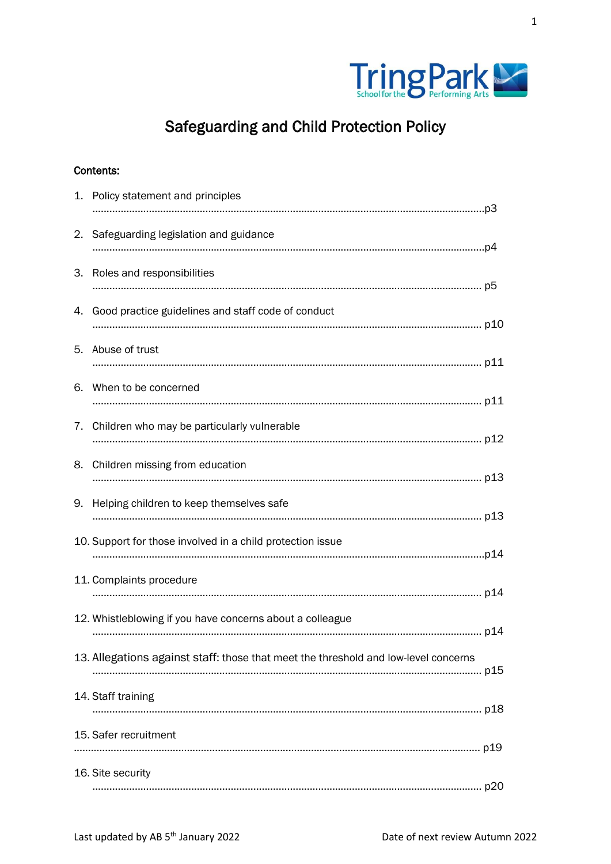

 $\mathbf{1}$ 

# Safeguarding and Child Protection Policy

## Contents:

|    | 1. Policy statement and principles                                                  |  |
|----|-------------------------------------------------------------------------------------|--|
|    | 2. Safeguarding legislation and guidance                                            |  |
|    | 3. Roles and responsibilities                                                       |  |
|    | 4. Good practice guidelines and staff code of conduct                               |  |
|    | 5. Abuse of trust                                                                   |  |
| 6. | When to be concerned                                                                |  |
| 7. | Children who may be particularly vulnerable                                         |  |
| 8. | Children missing from education                                                     |  |
| 9. | Helping children to keep themselves safe                                            |  |
|    | 10. Support for those involved in a child protection issue                          |  |
|    | 11. Complaints procedure                                                            |  |
|    | 12. Whistleblowing if you have concerns about a colleague                           |  |
|    | 13. Allegations against staff: those that meet the threshold and low-level concerns |  |
|    | 14. Staff training                                                                  |  |
|    | 15. Safer recruitment                                                               |  |
|    | 16. Site security                                                                   |  |
|    |                                                                                     |  |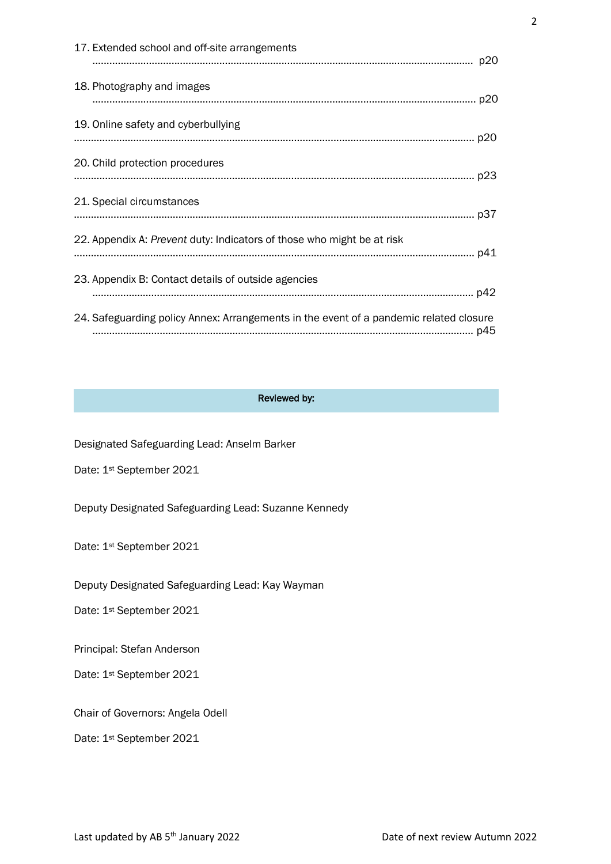| 17. Extended school and off-site arrangements                                          |
|----------------------------------------------------------------------------------------|
| 18. Photography and images                                                             |
| 19. Online safety and cyberbullying                                                    |
| 20. Child protection procedures                                                        |
| 21. Special circumstances                                                              |
| 22. Appendix A: Prevent duty: Indicators of those who might be at risk                 |
| 23. Appendix B: Contact details of outside agencies                                    |
| 24. Safeguarding policy Annex: Arrangements in the event of a pandemic related closure |

# Reviewed by:

Designated Safeguarding Lead: Anselm Barker

Date: 1st September 2021

Deputy Designated Safeguarding Lead: Suzanne Kennedy

Date: 1st September 2021

Deputy Designated Safeguarding Lead: Kay Wayman

Date: 1st September 2021

Principal: Stefan Anderson

Date: 1st September 2021

Chair of Governors: Angela Odell

Date: 1st September 2021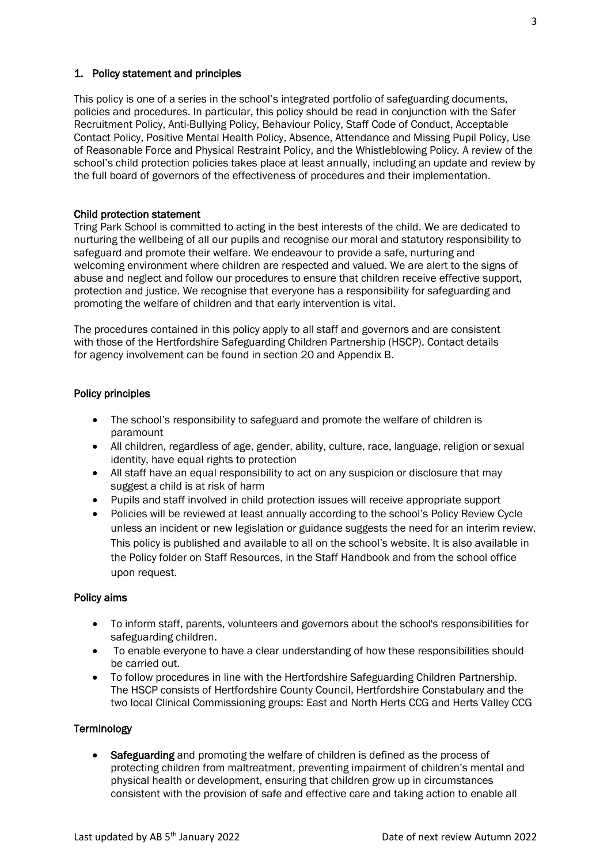## 1. Policy statement and principles

This policy is one of a series in the school's integrated portfolio of safeguarding documents, policies and procedures. In particular, this policy should be read in conjunction with the Safer Recruitment Policy, Anti-Bullying Policy, Behaviour Policy, Staff Code of Conduct, Acceptable Contact Policy, Positive Mental Health Policy, Absence, Attendance and Missing Pupil Policy, Use of Reasonable Force and Physical Restraint Policy, and the Whistleblowing Policy*.* A review of the school's child protection policies takes place at least annually, including an update and review by the full board of governors of the effectiveness of procedures and their implementation.

## Child protection statement

Tring Park School is committed to acting in the best interests of the child. We are dedicated to nurturing the wellbeing of all our pupils and recognise our moral and statutory responsibility to safeguard and promote their welfare. We endeavour to provide a safe, nurturing and welcoming environment where children are respected and valued. We are alert to the signs of abuse and neglect and follow our procedures to ensure that children receive effective support, protection and justice. We recognise that everyone has a responsibility for safeguarding and promoting the welfare of children and that early intervention is vital.

The procedures contained in this policy apply to all staff and governors and are consistent with those of the Hertfordshire Safeguarding Children Partnership (HSCP). Contact details for agency involvement can be found in section 20 and Appendix B.

# Policy principles

- The school's responsibility to safeguard and promote the welfare of children is paramount
- All children, regardless of age, gender, ability, culture, race, language, religion or sexual identity, have equal rights to protection
- All staff have an equal responsibility to act on any suspicion or disclosure that may suggest a child is at risk of harm
- Pupils and staff involved in child protection issues will receive appropriate support
- Policies will be reviewed at least annually according to the school's Policy Review Cycle unless an incident or new legislation or guidance suggests the need for an interim review. This policy is published and available to all on the school's website. It is also available in the Policy folder on Staff Resources, in the Staff Handbook and from the school office upon request.

## Policy aims

- To inform staff, parents, volunteers and governors about the school's responsibilities for safeguarding children.
- To enable everyone to have a clear understanding of how these responsibilities should be carried out.
- To follow procedures in line with the Hertfordshire Safeguarding Children Partnership. The HSCP consists of Hertfordshire County Council, Hertfordshire Constabulary and the two local Clinical Commissioning groups: East and North Herts CCG and Herts Valley CCG

## **Terminology**

• Safeguarding and promoting the welfare of children is defined as the process of protecting children from maltreatment, preventing impairment of children's mental and physical health or development, ensuring that children grow up in circumstances consistent with the provision of safe and effective care and taking action to enable all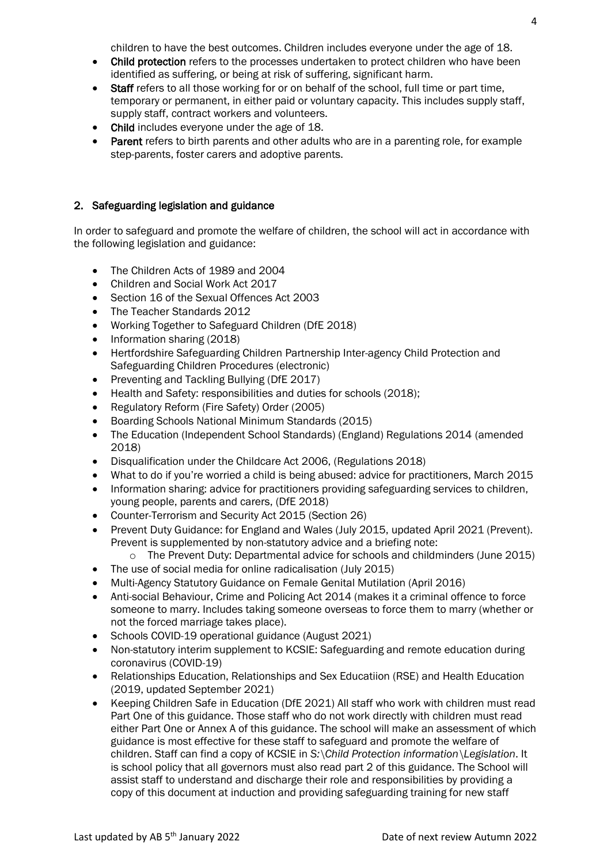children to have the best outcomes. Children includes everyone under the age of 18.

- Child protection refers to the processes undertaken to protect children who have been identified as suffering, or being at risk of suffering, significant harm.
- Staff refers to all those working for or on behalf of the school, full time or part time, temporary or permanent, in either paid or voluntary capacity. This includes supply staff, supply staff, contract workers and volunteers.
- Child includes everyone under the age of 18.
- Parent refers to birth parents and other adults who are in a parenting role, for example step-parents, foster carers and adoptive parents.

# 2. Safeguarding legislation and guidance

In order to safeguard and promote the welfare of children, the school will act in accordance with the following legislation and guidance:

- The Children Acts of 1989 and 2004
- Children and Social Work Act 2017
- Section 16 of the Sexual Offences Act 2003
- The Teacher Standards 2012
- Working Together to Safeguard Children (DfE 2018)
- Information sharing (2018)
- Hertfordshire Safeguarding Children Partnership Inter-agency Child Protection and Safeguarding Children Procedures (electronic)
- Preventing and Tackling Bullying (DfE 2017)
- Health and Safety: responsibilities and duties for schools (2018);
- Regulatory Reform (Fire Safety) Order (2005)
- Boarding Schools National Minimum Standards (2015)
- The Education (Independent School Standards) (England) Regulations 2014 (amended 2018)
- Disqualification under the Childcare Act 2006, (Regulations 2018)
- What to do if you're worried a child is being abused: advice for practitioners, March 2015
- Information sharing: advice for practitioners providing safeguarding services to children, young people, parents and carers, (DfE 2018)
- Counter-Terrorism and Security Act 2015 (Section 26)
- Prevent Duty Guidance: for England and Wales (July 2015, updated April 2021 (Prevent). Prevent is supplemented by non-statutory advice and a briefing note:
	- o The Prevent Duty: Departmental advice for schools and childminders (June 2015)
- The use of social media for online radicalisation (July 2015)
- Multi-Agency Statutory Guidance on Female Genital Mutilation (April 2016)
- Anti-social Behaviour, Crime and Policing Act 2014 (makes it a criminal offence to force someone to marry. Includes taking someone overseas to force them to marry (whether or not the forced marriage takes place).
- Schools COVID-19 operational guidance (August 2021)
- Non-statutory interim supplement to KCSIE: Safeguarding and remote education during coronavirus (COVID-19)
- Relationships Education, Relationships and Sex Educatiion (RSE) and Health Education (2019, updated September 2021)
- Keeping Children Safe in Education (DfE 2021) All staff who work with children must read Part One of this guidance. Those staff who do not work directly with children must read either Part One or Annex A of this guidance. The school will make an assessment of which guidance is most effective for these staff to safeguard and promote the welfare of children. Staff can find a copy of KCSIE in *S:\Child Protection information\Legislation*. It is school policy that all governors must also read part 2 of this guidance. The School will assist staff to understand and discharge their role and responsibilities by providing a copy of this document at induction and providing safeguarding training for new staff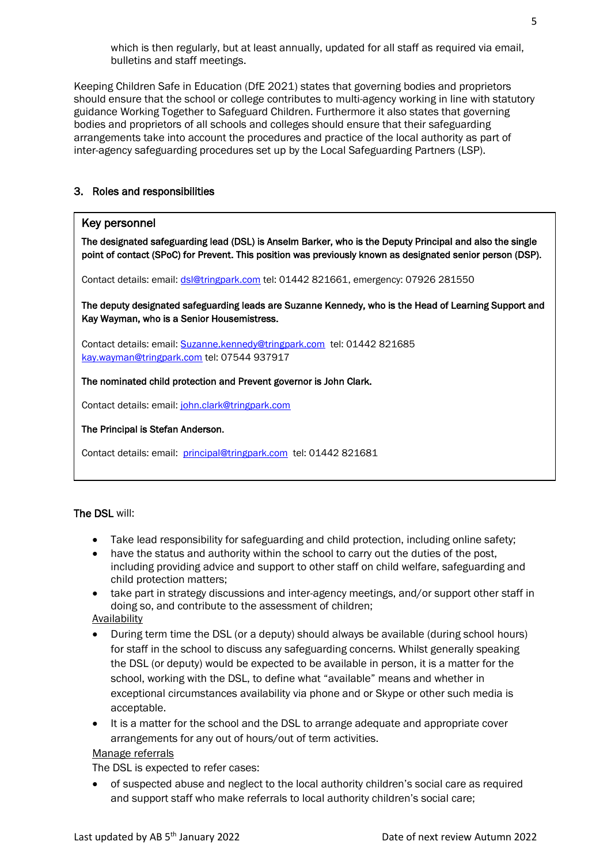which is then regularly, but at least annually, updated for all staff as required via email, bulletins and staff meetings.

Keeping Children Safe in Education (DfE 2021) states that governing bodies and proprietors should ensure that the school or college contributes to multi-agency working in line with statutory guidance Working Together to Safeguard Children. Furthermore it also states that governing bodies and proprietors of all schools and colleges should ensure that their safeguarding arrangements take into account the procedures and practice of the local authority as part of inter-agency safeguarding procedures set up by the Local Safeguarding Partners (LSP).

## 3. Roles and responsibilities

## Key personnel

The designated safeguarding lead (DSL) is Anselm Barker, who is the Deputy Principal and also the single point of contact (SPoC) for Prevent. This position was previously known as designated senior person (DSP).

Contact details: email: [dsl@tringpark.com](mailto:dsl@tringpark.com) tel: 01442 821661, emergency: 07926 281550

The deputy designated safeguarding leads are Suzanne Kennedy, who is the Head of Learning Support and Kay Wayman, who is a Senior Housemistress.

Contact details: email: [Suzanne.kennedy@tringpark.com](mailto:Suzanne.kennedy@tringpark.com) tel: 01442 821685 [kay.wayman@tringpark.com](mailto:kay.wayman@tringpark.com) tel: 07544 937917

The nominated child protection and Prevent governor is John Clark.

Contact details: email: [john.clark@tringpark.com](mailto:john.clark@tringpark.com)

The Principal is Stefan Anderson.

Contact details: email: [principal@tringpark.com](mailto:principal@tringpark.com) tel: 01442 821681

## The DSL will:

- Take lead responsibility for safeguarding and child protection, including online safety;
- have the status and authority within the school to carry out the duties of the post, including providing advice and support to other staff on child welfare, safeguarding and child protection matters;
- take part in strategy discussions and inter-agency meetings, and/or support other staff in doing so, and contribute to the assessment of children; Availability
- 
- During term time the DSL (or a deputy) should always be available (during school hours) for staff in the school to discuss any safeguarding concerns. Whilst generally speaking the DSL (or deputy) would be expected to be available in person, it is a matter for the school, working with the DSL, to define what "available" means and whether in exceptional circumstances availability via phone and or Skype or other such media is acceptable.
- It is a matter for the school and the DSL to arrange adequate and appropriate cover arrangements for any out of hours/out of term activities.

## Manage referrals

The DSL is expected to refer cases:

 of suspected abuse and neglect to the local authority children's social care as required and support staff who make referrals to local authority children's social care;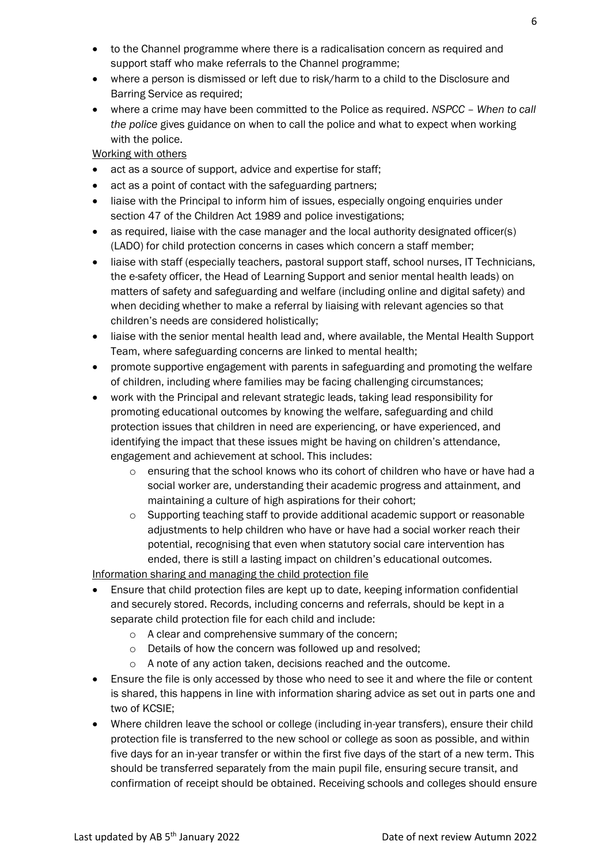- to the Channel programme where there is a radicalisation concern as required and support staff who make referrals to the Channel programme;
- where a person is dismissed or left due to risk/harm to a child to the Disclosure and Barring Service as required;
- where a crime may have been committed to the Police as required. *NSPCC – When to call the police* gives guidance on when to call the police and what to expect when working with the police.

# Working with others

- act as a source of support, advice and expertise for staff;
- act as a point of contact with the safeguarding partners;
- liaise with the Principal to inform him of issues, especially ongoing enquiries under section 47 of the Children Act 1989 and police investigations;
- as required, liaise with the case manager and the local authority designated officer(s) (LADO) for child protection concerns in cases which concern a staff member;
- liaise with staff (especially teachers, pastoral support staff, school nurses, IT Technicians, the e-safety officer, the Head of Learning Support and senior mental health leads) on matters of safety and safeguarding and welfare (including online and digital safety) and when deciding whether to make a referral by liaising with relevant agencies so that children's needs are considered holistically;
- liaise with the senior mental health lead and, where available, the Mental Health Support Team, where safeguarding concerns are linked to mental health;
- promote supportive engagement with parents in safeguarding and promoting the welfare of children, including where families may be facing challenging circumstances;
- work with the Principal and relevant strategic leads, taking lead responsibility for promoting educational outcomes by knowing the welfare, safeguarding and child protection issues that children in need are experiencing, or have experienced, and identifying the impact that these issues might be having on children's attendance, engagement and achievement at school. This includes:
	- o ensuring that the school knows who its cohort of children who have or have had a social worker are, understanding their academic progress and attainment, and maintaining a culture of high aspirations for their cohort;
	- $\circ$  Supporting teaching staff to provide additional academic support or reasonable adjustments to help children who have or have had a social worker reach their potential, recognising that even when statutory social care intervention has ended, there is still a lasting impact on children's educational outcomes.

Information sharing and managing the child protection file

- Ensure that child protection files are kept up to date, keeping information confidential and securely stored. Records, including concerns and referrals, should be kept in a separate child protection file for each child and include:
	- o A clear and comprehensive summary of the concern;
	- o Details of how the concern was followed up and resolved;
	- o A note of any action taken, decisions reached and the outcome.
- Ensure the file is only accessed by those who need to see it and where the file or content is shared, this happens in line with information sharing advice as set out in parts one and two of KCSIE;
- Where children leave the school or college (including in-year transfers), ensure their child protection file is transferred to the new school or college as soon as possible, and within five days for an in-year transfer or within the first five days of the start of a new term. This should be transferred separately from the main pupil file, ensuring secure transit, and confirmation of receipt should be obtained. Receiving schools and colleges should ensure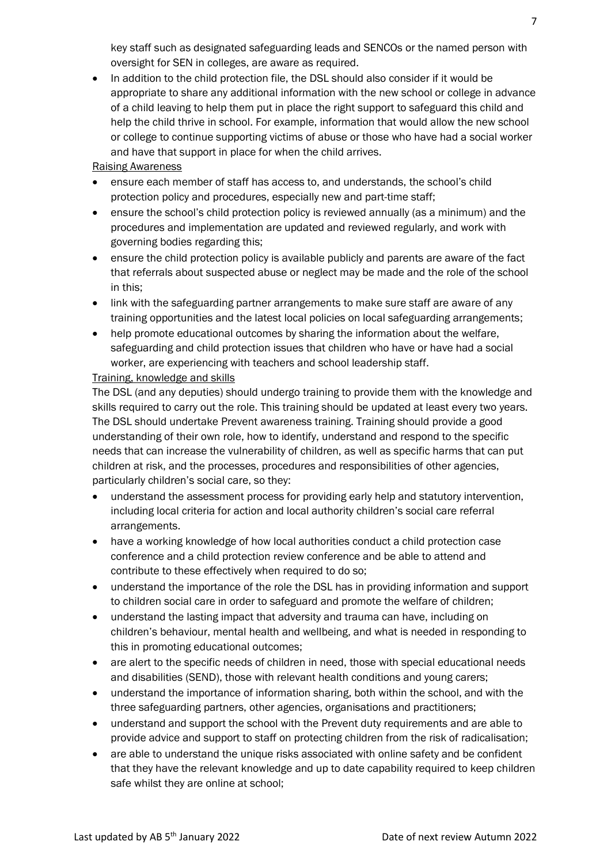key staff such as designated safeguarding leads and SENCOs or the named person with oversight for SEN in colleges, are aware as required.

• In addition to the child protection file, the DSL should also consider if it would be appropriate to share any additional information with the new school or college in advance of a child leaving to help them put in place the right support to safeguard this child and help the child thrive in school. For example, information that would allow the new school or college to continue supporting victims of abuse or those who have had a social worker and have that support in place for when the child arrives.

## Raising Awareness

- ensure each member of staff has access to, and understands, the school's child protection policy and procedures, especially new and part-time staff;
- ensure the school's child protection policy is reviewed annually (as a minimum) and the procedures and implementation are updated and reviewed regularly, and work with governing bodies regarding this;
- ensure the child protection policy is available publicly and parents are aware of the fact that referrals about suspected abuse or neglect may be made and the role of the school in this;
- link with the safeguarding partner arrangements to make sure staff are aware of any training opportunities and the latest local policies on local safeguarding arrangements;
- help promote educational outcomes by sharing the information about the welfare, safeguarding and child protection issues that children who have or have had a social worker, are experiencing with teachers and school leadership staff.

# Training, knowledge and skills

The DSL (and any deputies) should undergo training to provide them with the knowledge and skills required to carry out the role. This training should be updated at least every two years. The DSL should undertake Prevent awareness training. Training should provide a good understanding of their own role, how to identify, understand and respond to the specific needs that can increase the vulnerability of children, as well as specific harms that can put children at risk, and the processes, procedures and responsibilities of other agencies, particularly children's social care, so they:

- understand the assessment process for providing early help and statutory intervention, including local criteria for action and local authority children's social care referral arrangements.
- have a working knowledge of how local authorities conduct a child protection case conference and a child protection review conference and be able to attend and contribute to these effectively when required to do so;
- understand the importance of the role the DSL has in providing information and support to children social care in order to safeguard and promote the welfare of children;
- understand the lasting impact that adversity and trauma can have, including on children's behaviour, mental health and wellbeing, and what is needed in responding to this in promoting educational outcomes;
- are alert to the specific needs of children in need, those with special educational needs and disabilities (SEND), those with relevant health conditions and young carers;
- understand the importance of information sharing, both within the school, and with the three safeguarding partners, other agencies, organisations and practitioners;
- understand and support the school with the Prevent duty requirements and are able to provide advice and support to staff on protecting children from the risk of radicalisation;
- are able to understand the unique risks associated with online safety and be confident that they have the relevant knowledge and up to date capability required to keep children safe whilst they are online at school;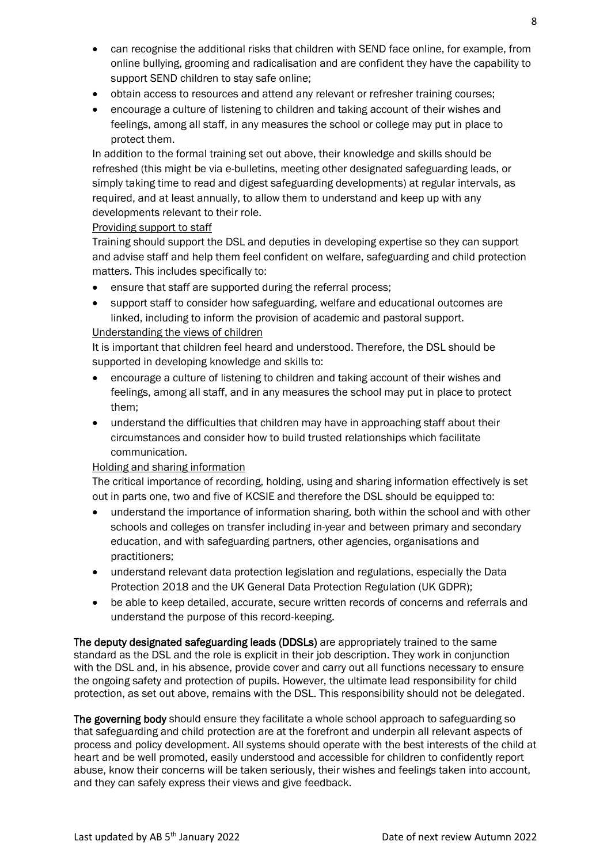- can recognise the additional risks that children with SEND face online, for example, from online bullying, grooming and radicalisation and are confident they have the capability to support SEND children to stay safe online;
- obtain access to resources and attend any relevant or refresher training courses;
- encourage a culture of listening to children and taking account of their wishes and feelings, among all staff, in any measures the school or college may put in place to protect them.

In addition to the formal training set out above, their knowledge and skills should be refreshed (this might be via e-bulletins, meeting other designated safeguarding leads, or simply taking time to read and digest safeguarding developments) at regular intervals, as required, and at least annually, to allow them to understand and keep up with any developments relevant to their role.

# Providing support to staff

Training should support the DSL and deputies in developing expertise so they can support and advise staff and help them feel confident on welfare, safeguarding and child protection matters. This includes specifically to:

- ensure that staff are supported during the referral process;
- support staff to consider how safeguarding, welfare and educational outcomes are linked, including to inform the provision of academic and pastoral support.

# Understanding the views of children

It is important that children feel heard and understood. Therefore, the DSL should be supported in developing knowledge and skills to:

- encourage a culture of listening to children and taking account of their wishes and feelings, among all staff, and in any measures the school may put in place to protect them;
- understand the difficulties that children may have in approaching staff about their circumstances and consider how to build trusted relationships which facilitate communication.

# Holding and sharing information

The critical importance of recording, holding, using and sharing information effectively is set out in parts one, two and five of KCSIE and therefore the DSL should be equipped to:

- understand the importance of information sharing, both within the school and with other schools and colleges on transfer including in-year and between primary and secondary education, and with safeguarding partners, other agencies, organisations and practitioners;
- understand relevant data protection legislation and regulations, especially the Data Protection 2018 and the UK General Data Protection Regulation (UK GDPR);
- be able to keep detailed, accurate, secure written records of concerns and referrals and understand the purpose of this record-keeping.

The deputy designated safeguarding leads (DDSLs) are appropriately trained to the same standard as the DSL and the role is explicit in their job description. They work in conjunction with the DSL and, in his absence, provide cover and carry out all functions necessary to ensure the ongoing safety and protection of pupils. However, the ultimate lead responsibility for child protection, as set out above, remains with the DSL. This responsibility should not be delegated.

The governing body should ensure they facilitate a whole school approach to safeguarding so that safeguarding and child protection are at the forefront and underpin all relevant aspects of process and policy development. All systems should operate with the best interests of the child at heart and be well promoted, easily understood and accessible for children to confidently report abuse, know their concerns will be taken seriously, their wishes and feelings taken into account, and they can safely express their views and give feedback.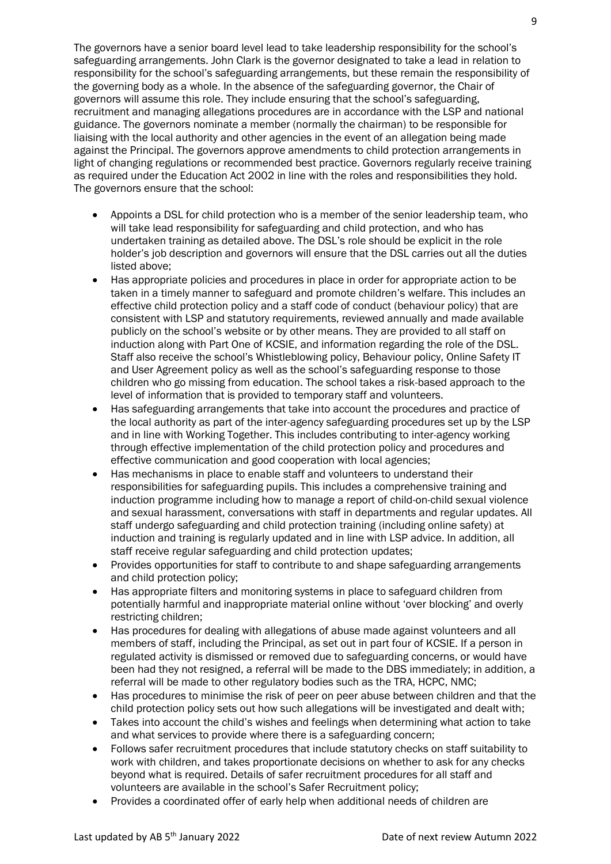The governors have a senior board level lead to take leadership responsibility for the school's safeguarding arrangements. John Clark is the governor designated to take a lead in relation to responsibility for the school's safeguarding arrangements, but these remain the responsibility of the governing body as a whole. In the absence of the safeguarding governor, the Chair of governors will assume this role. They include ensuring that the school's safeguarding, recruitment and managing allegations procedures are in accordance with the LSP and national guidance. The governors nominate a member (normally the chairman) to be responsible for liaising with the local authority and other agencies in the event of an allegation being made against the Principal. The governors approve amendments to child protection arrangements in light of changing regulations or recommended best practice. Governors regularly receive training as required under the Education Act 2002 in line with the roles and responsibilities they hold. The governors ensure that the school:

- Appoints a DSL for child protection who is a member of the senior leadership team, who will take lead responsibility for safeguarding and child protection, and who has undertaken training as detailed above. The DSL's role should be explicit in the role holder's job description and governors will ensure that the DSL carries out all the duties listed above;
- Has appropriate policies and procedures in place in order for appropriate action to be taken in a timely manner to safeguard and promote children's welfare. This includes an effective child protection policy and a staff code of conduct (behaviour policy) that are consistent with LSP and statutory requirements, reviewed annually and made available publicly on the school's website or by other means. They are provided to all staff on induction along with Part One of KCSIE, and information regarding the role of the DSL. Staff also receive the school's Whistleblowing policy, Behaviour policy, Online Safety IT and User Agreement policy as well as the school's safeguarding response to those children who go missing from education. The school takes a risk-based approach to the level of information that is provided to temporary staff and volunteers.
- Has safeguarding arrangements that take into account the procedures and practice of the local authority as part of the inter-agency safeguarding procedures set up by the LSP and in line with Working Together. This includes contributing to inter-agency working through effective implementation of the child protection policy and procedures and effective communication and good cooperation with local agencies;
- Has mechanisms in place to enable staff and volunteers to understand their responsibilities for safeguarding pupils. This includes a comprehensive training and induction programme including how to manage a report of child-on-child sexual violence and sexual harassment, conversations with staff in departments and regular updates. All staff undergo safeguarding and child protection training (including online safety) at induction and training is regularly updated and in line with LSP advice. In addition, all staff receive regular safeguarding and child protection updates;
- Provides opportunities for staff to contribute to and shape safeguarding arrangements and child protection policy;
- Has appropriate filters and monitoring systems in place to safeguard children from potentially harmful and inappropriate material online without 'over blocking' and overly restricting children;
- Has procedures for dealing with allegations of abuse made against volunteers and all members of staff, including the Principal, as set out in part four of KCSIE. If a person in regulated activity is dismissed or removed due to safeguarding concerns, or would have been had they not resigned, a referral will be made to the DBS immediately; in addition, a referral will be made to other regulatory bodies such as the TRA, HCPC, NMC;
- Has procedures to minimise the risk of peer on peer abuse between children and that the child protection policy sets out how such allegations will be investigated and dealt with;
- Takes into account the child's wishes and feelings when determining what action to take and what services to provide where there is a safeguarding concern;
- Follows safer recruitment procedures that include statutory checks on staff suitability to work with children, and takes proportionate decisions on whether to ask for any checks beyond what is required. Details of safer recruitment procedures for all staff and volunteers are available in the school's Safer Recruitment policy;
- Provides a coordinated offer of early help when additional needs of children are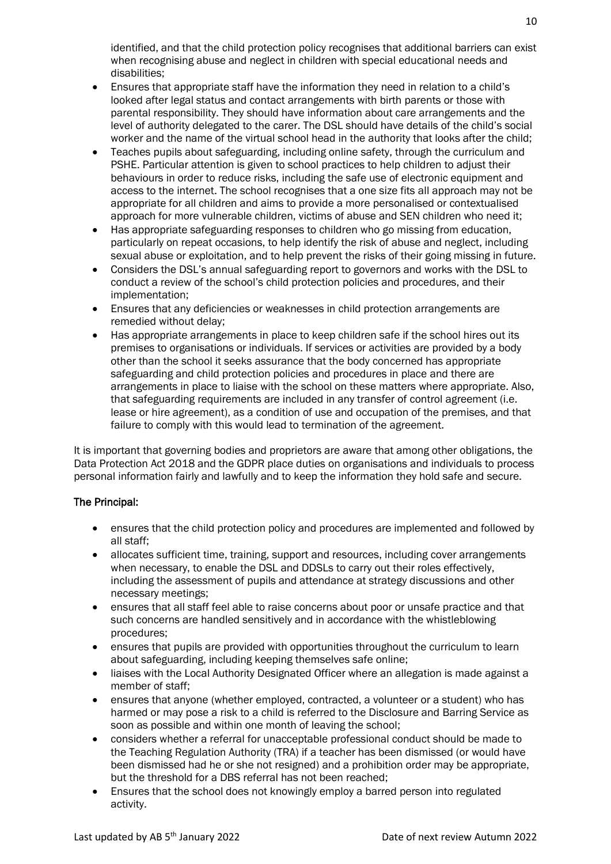identified, and that the child protection policy recognises that additional barriers can exist when recognising abuse and neglect in children with special educational needs and disabilities;

- Ensures that appropriate staff have the information they need in relation to a child's looked after legal status and contact arrangements with birth parents or those with parental responsibility. They should have information about care arrangements and the level of authority delegated to the carer. The DSL should have details of the child's social worker and the name of the virtual school head in the authority that looks after the child;
- Teaches pupils about safeguarding, including online safety, through the curriculum and PSHE. Particular attention is given to school practices to help children to adjust their behaviours in order to reduce risks, including the safe use of electronic equipment and access to the internet. The school recognises that a one size fits all approach may not be appropriate for all children and aims to provide a more personalised or contextualised approach for more vulnerable children, victims of abuse and SEN children who need it;
- Has appropriate safeguarding responses to children who go missing from education, particularly on repeat occasions, to help identify the risk of abuse and neglect, including sexual abuse or exploitation, and to help prevent the risks of their going missing in future.
- Considers the DSL's annual safeguarding report to governors and works with the DSL to conduct a review of the school's child protection policies and procedures, and their implementation;
- Ensures that any deficiencies or weaknesses in child protection arrangements are remedied without delay;
- Has appropriate arrangements in place to keep children safe if the school hires out its premises to organisations or individuals. If services or activities are provided by a body other than the school it seeks assurance that the body concerned has appropriate safeguarding and child protection policies and procedures in place and there are arrangements in place to liaise with the school on these matters where appropriate. Also, that safeguarding requirements are included in any transfer of control agreement (i.e. lease or hire agreement), as a condition of use and occupation of the premises, and that failure to comply with this would lead to termination of the agreement.

It is important that governing bodies and proprietors are aware that among other obligations, the Data Protection Act 2018 and the GDPR place duties on organisations and individuals to process personal information fairly and lawfully and to keep the information they hold safe and secure.

# The Principal:

- ensures that the child protection policy and procedures are implemented and followed by all staff;
- allocates sufficient time, training, support and resources, including cover arrangements when necessary, to enable the DSL and DDSLs to carry out their roles effectively, including the assessment of pupils and attendance at strategy discussions and other necessary meetings;
- ensures that all staff feel able to raise concerns about poor or unsafe practice and that such concerns are handled sensitively and in accordance with the whistleblowing procedures;
- ensures that pupils are provided with opportunities throughout the curriculum to learn about safeguarding, including keeping themselves safe online;
- liaises with the Local Authority Designated Officer where an allegation is made against a member of staff;
- ensures that anyone (whether employed, contracted, a volunteer or a student) who has harmed or may pose a risk to a child is referred to the Disclosure and Barring Service as soon as possible and within one month of leaving the school;
- considers whether a referral for unacceptable professional conduct should be made to the Teaching Regulation Authority (TRA) if a teacher has been dismissed (or would have been dismissed had he or she not resigned) and a prohibition order may be appropriate, but the threshold for a DBS referral has not been reached;
- Ensures that the school does not knowingly employ a barred person into regulated activity.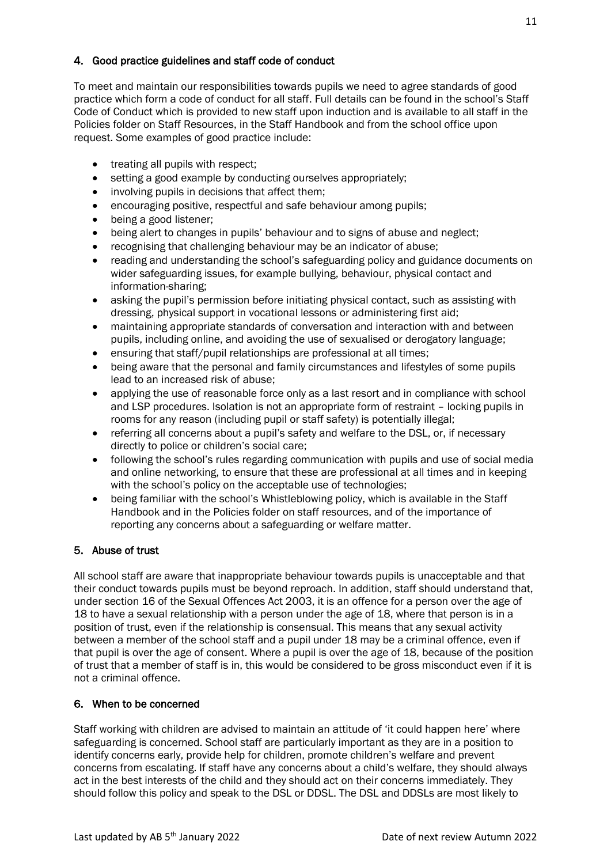# 4. Good practice guidelines and staff code of conduct

To meet and maintain our responsibilities towards pupils we need to agree standards of good practice which form a code of conduct for all staff. Full details can be found in the school's Staff Code of Conduct which is provided to new staff upon induction and is available to all staff in the Policies folder on Staff Resources, in the Staff Handbook and from the school office upon request. Some examples of good practice include:

- treating all pupils with respect;
- setting a good example by conducting ourselves appropriately;
- involving pupils in decisions that affect them;
- encouraging positive, respectful and safe behaviour among pupils;
- being a good listener;
- being alert to changes in pupils' behaviour and to signs of abuse and neglect;
- recognising that challenging behaviour may be an indicator of abuse;
- reading and understanding the school's safeguarding policy and guidance documents on wider safeguarding issues, for example bullying, behaviour, physical contact and information-sharing;
- asking the pupil's permission before initiating physical contact, such as assisting with dressing, physical support in vocational lessons or administering first aid;
- maintaining appropriate standards of conversation and interaction with and between pupils, including online, and avoiding the use of sexualised or derogatory language;
- ensuring that staff/pupil relationships are professional at all times;
- being aware that the personal and family circumstances and lifestyles of some pupils lead to an increased risk of abuse;
- applying the use of reasonable force only as a last resort and in compliance with school and LSP procedures. Isolation is not an appropriate form of restraint – locking pupils in rooms for any reason (including pupil or staff safety) is potentially illegal;
- referring all concerns about a pupil's safety and welfare to the DSL, or, if necessary directly to police or children's social care;
- following the school's rules regarding communication with pupils and use of social media and online networking, to ensure that these are professional at all times and in keeping with the school's policy on the acceptable use of technologies;
- being familiar with the school's Whistleblowing policy, which is available in the Staff Handbook and in the Policies folder on staff resources, and of the importance of reporting any concerns about a safeguarding or welfare matter.

# 5. Abuse of trust

All school staff are aware that inappropriate behaviour towards pupils is unacceptable and that their conduct towards pupils must be beyond reproach. In addition, staff should understand that, under section 16 of the Sexual Offences Act 2003, it is an offence for a person over the age of 18 to have a sexual relationship with a person under the age of 18, where that person is in a position of trust, even if the relationship is consensual. This means that any sexual activity between a member of the school staff and a pupil under 18 may be a criminal offence, even if that pupil is over the age of consent. Where a pupil is over the age of 18, because of the position of trust that a member of staff is in, this would be considered to be gross misconduct even if it is not a criminal offence.

# 6. When to be concerned

Staff working with children are advised to maintain an attitude of 'it could happen here' where safeguarding is concerned. School staff are particularly important as they are in a position to identify concerns early, provide help for children, promote children's welfare and prevent concerns from escalating. If staff have any concerns about a child's welfare, they should always act in the best interests of the child and they should act on their concerns immediately. They should follow this policy and speak to the DSL or DDSL. The DSL and DDSLs are most likely to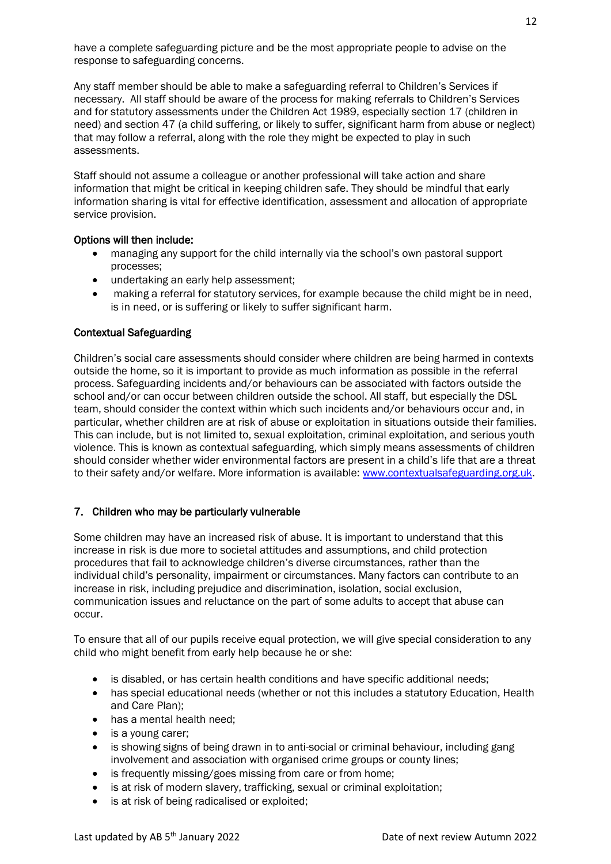have a complete safeguarding picture and be the most appropriate people to advise on the response to safeguarding concerns.

Any staff member should be able to make a safeguarding referral to Children's Services if necessary. All staff should be aware of the process for making referrals to Children's Services and for statutory assessments under the Children Act 1989, especially section 17 (children in need) and section 47 (a child suffering, or likely to suffer, significant harm from abuse or neglect) that may follow a referral, along with the role they might be expected to play in such assessments.

Staff should not assume a colleague or another professional will take action and share information that might be critical in keeping children safe. They should be mindful that early information sharing is vital for effective identification, assessment and allocation of appropriate service provision.

# Options will then include:

- managing any support for the child internally via the school's own pastoral support processes;
- undertaking an early help assessment;
- making a referral for statutory services, for example because the child might be in need, is in need, or is suffering or likely to suffer significant harm.

# Contextual Safeguarding

Children's social care assessments should consider where children are being harmed in contexts outside the home, so it is important to provide as much information as possible in the referral process. Safeguarding incidents and/or behaviours can be associated with factors outside the school and/or can occur between children outside the school. All staff, but especially the DSL team, should consider the context within which such incidents and/or behaviours occur and, in particular, whether children are at risk of abuse or exploitation in situations outside their families. This can include, but is not limited to, sexual exploitation, criminal exploitation, and serious youth violence. This is known as contextual safeguarding, which simply means assessments of children should consider whether wider environmental factors are present in a child's life that are a threat to their safety and/or welfare. More information is available: [www.contextualsafeguarding.org.uk.](http://www.contextualsafeguarding.org.uk/)

# 7. Children who may be particularly vulnerable

Some children may have an increased risk of abuse. It is important to understand that this increase in risk is due more to societal attitudes and assumptions, and child protection procedures that fail to acknowledge children's diverse circumstances, rather than the individual child's personality, impairment or circumstances. Many factors can contribute to an increase in risk, including prejudice and discrimination, isolation, social exclusion, communication issues and reluctance on the part of some adults to accept that abuse can occur.

To ensure that all of our pupils receive equal protection, we will give special consideration to any child who might benefit from early help because he or she:

- is disabled, or has certain health conditions and have specific additional needs;
- has special educational needs (whether or not this includes a statutory Education, Health and Care Plan);
- has a mental health need;
- is a young carer;
- is showing signs of being drawn in to anti-social or criminal behaviour, including gang involvement and association with organised crime groups or county lines;
- is frequently missing/goes missing from care or from home:
- is at risk of modern slavery, trafficking, sexual or criminal exploitation;
- is at risk of being radicalised or exploited;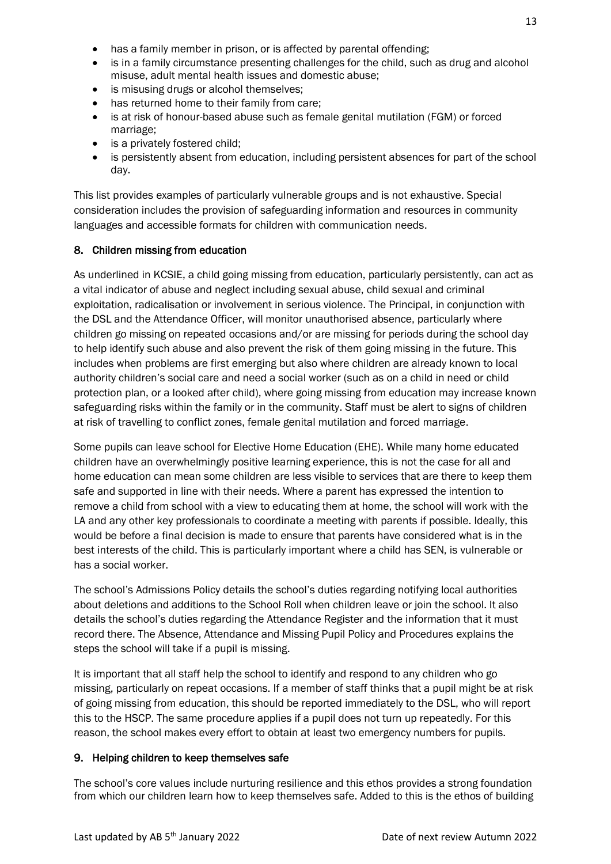- has a family member in prison, or is affected by parental offending;
- is in a family circumstance presenting challenges for the child, such as drug and alcohol misuse, adult mental health issues and domestic abuse;
- is misusing drugs or alcohol themselves;
- has returned home to their family from care;
- is at risk of honour-based abuse such as female genital mutilation (FGM) or forced marriage;
- is a privately fostered child;
- is persistently absent from education, including persistent absences for part of the school day.

This list provides examples of particularly vulnerable groups and is not exhaustive. Special consideration includes the provision of safeguarding information and resources in community languages and accessible formats for children with communication needs.

# 8. Children missing from education

As underlined in KCSIE, a child going missing from education, particularly persistently, can act as a vital indicator of abuse and neglect including sexual abuse, child sexual and criminal exploitation, radicalisation or involvement in serious violence. The Principal, in conjunction with the DSL and the Attendance Officer, will monitor unauthorised absence, particularly where children go missing on repeated occasions and/or are missing for periods during the school day to help identify such abuse and also prevent the risk of them going missing in the future. This includes when problems are first emerging but also where children are already known to local authority children's social care and need a social worker (such as on a child in need or child protection plan, or a looked after child), where going missing from education may increase known safeguarding risks within the family or in the community. Staff must be alert to signs of children at risk of travelling to conflict zones, female genital mutilation and forced marriage.

Some pupils can leave school for Elective Home Education (EHE). While many home educated children have an overwhelmingly positive learning experience, this is not the case for all and home education can mean some children are less visible to services that are there to keep them safe and supported in line with their needs. Where a parent has expressed the intention to remove a child from school with a view to educating them at home, the school will work with the LA and any other key professionals to coordinate a meeting with parents if possible. Ideally, this would be before a final decision is made to ensure that parents have considered what is in the best interests of the child. This is particularly important where a child has SEN, is vulnerable or has a social worker.

The school's Admissions Policy details the school's duties regarding notifying local authorities about deletions and additions to the School Roll when children leave or join the school. It also details the school's duties regarding the Attendance Register and the information that it must record there. The Absence, Attendance and Missing Pupil Policy and Procedures explains the steps the school will take if a pupil is missing.

It is important that all staff help the school to identify and respond to any children who go missing, particularly on repeat occasions. If a member of staff thinks that a pupil might be at risk of going missing from education, this should be reported immediately to the DSL, who will report this to the HSCP. The same procedure applies if a pupil does not turn up repeatedly. For this reason, the school makes every effort to obtain at least two emergency numbers for pupils.

# 9. Helping children to keep themselves safe

The school's core values include nurturing resilience and this ethos provides a strong foundation from which our children learn how to keep themselves safe. Added to this is the ethos of building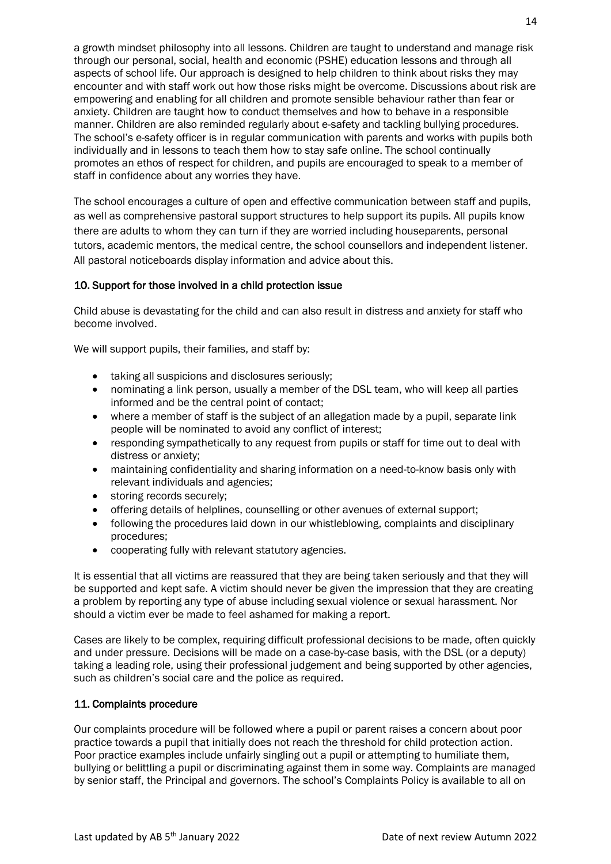a growth mindset philosophy into all lessons. Children are taught to understand and manage risk through our personal, social, health and economic (PSHE) education lessons and through all aspects of school life. Our approach is designed to help children to think about risks they may encounter and with staff work out how those risks might be overcome. Discussions about risk are empowering and enabling for all children and promote sensible behaviour rather than fear or anxiety. Children are taught how to conduct themselves and how to behave in a responsible manner. Children are also reminded regularly about e-safety and tackling bullying procedures. The school's e-safety officer is in regular communication with parents and works with pupils both individually and in lessons to teach them how to stay safe online. The school continually promotes an ethos of respect for children, and pupils are encouraged to speak to a member of staff in confidence about any worries they have.

The school encourages a culture of open and effective communication between staff and pupils, as well as comprehensive pastoral support structures to help support its pupils. All pupils know there are adults to whom they can turn if they are worried including houseparents, personal tutors, academic mentors, the medical centre, the school counsellors and independent listener. All pastoral noticeboards display information and advice about this.

# 10. Support for those involved in a child protection issue

Child abuse is devastating for the child and can also result in distress and anxiety for staff who become involved.

We will support pupils, their families, and staff by:

- taking all suspicions and disclosures seriously;
- nominating a link person, usually a member of the DSL team, who will keep all parties informed and be the central point of contact;
- where a member of staff is the subject of an allegation made by a pupil, separate link people will be nominated to avoid any conflict of interest;
- responding sympathetically to any request from pupils or staff for time out to deal with distress or anxiety;
- maintaining confidentiality and sharing information on a need-to-know basis only with relevant individuals and agencies;
- storing records securely;
- offering details of helplines, counselling or other avenues of external support;
- following the procedures laid down in our whistleblowing, complaints and disciplinary procedures;
- cooperating fully with relevant statutory agencies.

It is essential that all victims are reassured that they are being taken seriously and that they will be supported and kept safe. A victim should never be given the impression that they are creating a problem by reporting any type of abuse including sexual violence or sexual harassment. Nor should a victim ever be made to feel ashamed for making a report.

Cases are likely to be complex, requiring difficult professional decisions to be made, often quickly and under pressure. Decisions will be made on a case-by-case basis, with the DSL (or a deputy) taking a leading role, using their professional judgement and being supported by other agencies, such as children's social care and the police as required.

## 11. Complaints procedure

Our complaints procedure will be followed where a pupil or parent raises a concern about poor practice towards a pupil that initially does not reach the threshold for child protection action. Poor practice examples include unfairly singling out a pupil or attempting to humiliate them, bullying or belittling a pupil or discriminating against them in some way. Complaints are managed by senior staff, the Principal and governors. The school's Complaints Policy is available to all on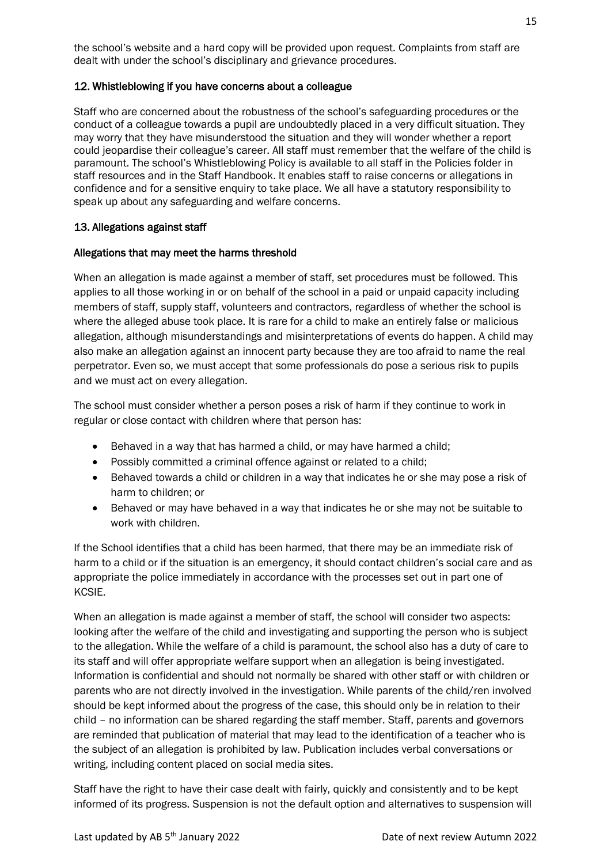the school's website and a hard copy will be provided upon request. Complaints from staff are dealt with under the school's disciplinary and grievance procedures.

## 12. Whistleblowing if you have concerns about a colleague

Staff who are concerned about the robustness of the school's safeguarding procedures or the conduct of a colleague towards a pupil are undoubtedly placed in a very difficult situation. They may worry that they have misunderstood the situation and they will wonder whether a report could jeopardise their colleague's career. All staff must remember that the welfare of the child is paramount. The school's Whistleblowing Policy is available to all staff in the Policies folder in staff resources and in the Staff Handbook. It enables staff to raise concerns or allegations in confidence and for a sensitive enquiry to take place. We all have a statutory responsibility to speak up about any safeguarding and welfare concerns.

# 13. Allegations against staff

# Allegations that may meet the harms threshold

When an allegation is made against a member of staff, set procedures must be followed. This applies to all those working in or on behalf of the school in a paid or unpaid capacity including members of staff, supply staff, volunteers and contractors, regardless of whether the school is where the alleged abuse took place. It is rare for a child to make an entirely false or malicious allegation, although misunderstandings and misinterpretations of events do happen. A child may also make an allegation against an innocent party because they are too afraid to name the real perpetrator. Even so, we must accept that some professionals do pose a serious risk to pupils and we must act on every allegation.

The school must consider whether a person poses a risk of harm if they continue to work in regular or close contact with children where that person has:

- Behaved in a way that has harmed a child, or may have harmed a child;
- Possibly committed a criminal offence against or related to a child;
- Behaved towards a child or children in a way that indicates he or she may pose a risk of harm to children; or
- Behaved or may have behaved in a way that indicates he or she may not be suitable to work with children.

If the School identifies that a child has been harmed, that there may be an immediate risk of harm to a child or if the situation is an emergency, it should contact children's social care and as appropriate the police immediately in accordance with the processes set out in part one of **KCSIF** 

When an allegation is made against a member of staff, the school will consider two aspects: looking after the welfare of the child and investigating and supporting the person who is subject to the allegation. While the welfare of a child is paramount, the school also has a duty of care to its staff and will offer appropriate welfare support when an allegation is being investigated. Information is confidential and should not normally be shared with other staff or with children or parents who are not directly involved in the investigation. While parents of the child/ren involved should be kept informed about the progress of the case, this should only be in relation to their child – no information can be shared regarding the staff member. Staff, parents and governors are reminded that publication of material that may lead to the identification of a teacher who is the subject of an allegation is prohibited by law. Publication includes verbal conversations or writing, including content placed on social media sites.

Staff have the right to have their case dealt with fairly, quickly and consistently and to be kept informed of its progress. Suspension is not the default option and alternatives to suspension will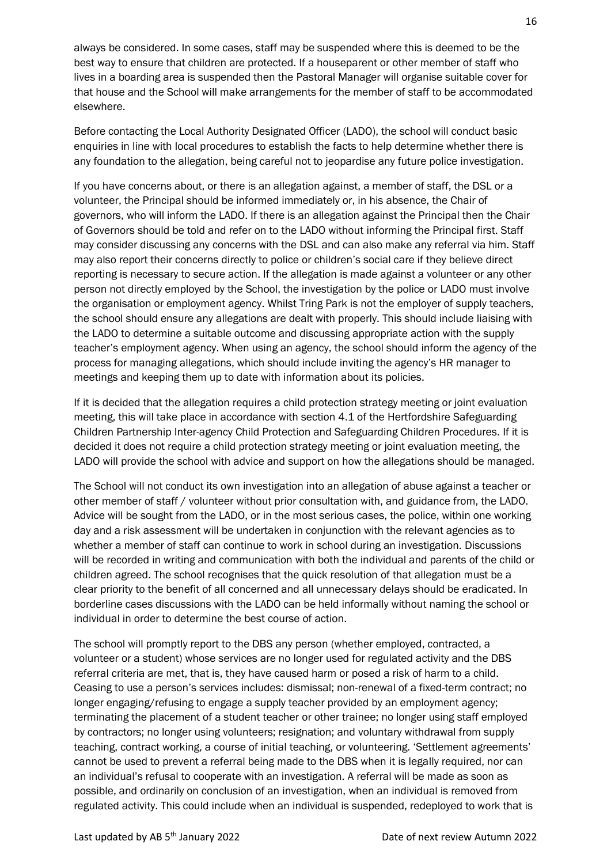always be considered. In some cases, staff may be suspended where this is deemed to be the best way to ensure that children are protected. If a houseparent or other member of staff who lives in a boarding area is suspended then the Pastoral Manager will organise suitable cover for that house and the School will make arrangements for the member of staff to be accommodated elsewhere.

Before contacting the Local Authority Designated Officer (LADO), the school will conduct basic enquiries in line with local procedures to establish the facts to help determine whether there is any foundation to the allegation, being careful not to jeopardise any future police investigation.

If you have concerns about, or there is an allegation against, a member of staff, the DSL or a volunteer, the Principal should be informed immediately or, in his absence, the Chair of governors, who will inform the LADO. If there is an allegation against the Principal then the Chair of Governors should be told and refer on to the LADO without informing the Principal first. Staff may consider discussing any concerns with the DSL and can also make any referral via him. Staff may also report their concerns directly to police or children's social care if they believe direct reporting is necessary to secure action. If the allegation is made against a volunteer or any other person not directly employed by the School, the investigation by the police or LADO must involve the organisation or employment agency. Whilst Tring Park is not the employer of supply teachers, the school should ensure any allegations are dealt with properly. This should include liaising with the LADO to determine a suitable outcome and discussing appropriate action with the supply teacher's employment agency. When using an agency, the school should inform the agency of the process for managing allegations, which should include inviting the agency's HR manager to meetings and keeping them up to date with information about its policies.

If it is decided that the allegation requires a child protection strategy meeting or joint evaluation meeting, this will take place in accordance with section 4.1 of the Hertfordshire Safeguarding Children Partnership Inter-agency Child Protection and Safeguarding Children Procedures. If it is decided it does not require a child protection strategy meeting or joint evaluation meeting, the LADO will provide the school with advice and support on how the allegations should be managed.

The School will not conduct its own investigation into an allegation of abuse against a teacher or other member of staff / volunteer without prior consultation with, and guidance from, the LADO. Advice will be sought from the LADO, or in the most serious cases, the police, within one working day and a risk assessment will be undertaken in conjunction with the relevant agencies as to whether a member of staff can continue to work in school during an investigation. Discussions will be recorded in writing and communication with both the individual and parents of the child or children agreed. The school recognises that the quick resolution of that allegation must be a clear priority to the benefit of all concerned and all unnecessary delays should be eradicated. In borderline cases discussions with the LADO can be held informally without naming the school or individual in order to determine the best course of action.

The school will promptly report to the DBS any person (whether employed, contracted, a volunteer or a student) whose services are no longer used for regulated activity and the DBS referral criteria are met, that is, they have caused harm or posed a risk of harm to a child. Ceasing to use a person's services includes: dismissal; non-renewal of a fixed-term contract; no longer engaging/refusing to engage a supply teacher provided by an employment agency; terminating the placement of a student teacher or other trainee; no longer using staff employed by contractors; no longer using volunteers; resignation; and voluntary withdrawal from supply teaching, contract working, a course of initial teaching, or volunteering. 'Settlement agreements' cannot be used to prevent a referral being made to the DBS when it is legally required, nor can an individual's refusal to cooperate with an investigation. A referral will be made as soon as possible, and ordinarily on conclusion of an investigation, when an individual is removed from regulated activity. This could include when an individual is suspended, redeployed to work that is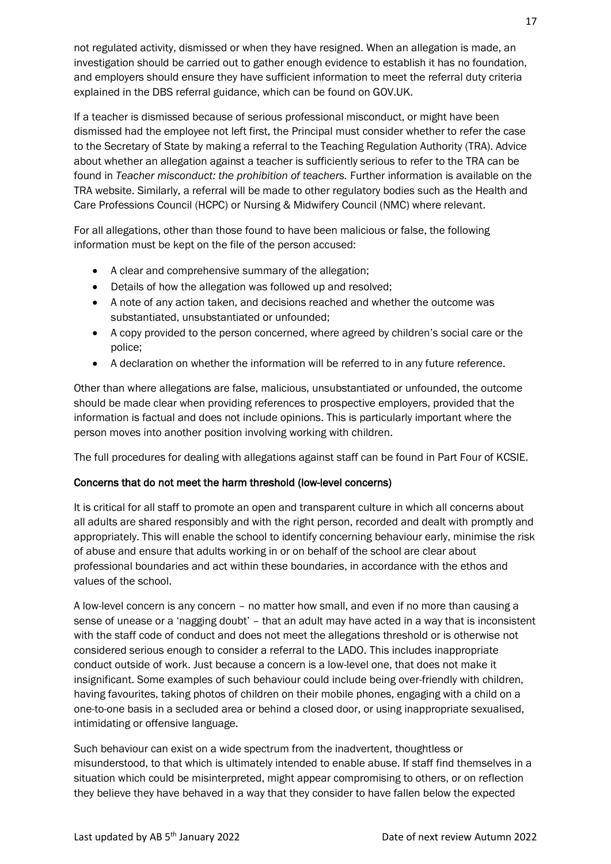not regulated activity, dismissed or when they have resigned. When an allegation is made, an investigation should be carried out to gather enough evidence to establish it has no foundation, and employers should ensure they have sufficient information to meet the referral duty criteria explained in the DBS referral guidance, which can be found on GOV.UK.

If a teacher is dismissed because of serious professional misconduct, or might have been dismissed had the employee not left first, the Principal must consider whether to refer the case to the Secretary of State by making a referral to the Teaching Regulation Authority (TRA). Advice about whether an allegation against a teacher is sufficiently serious to refer to the TRA can be found in *Teacher misconduct: the prohibition of teachers.* Further information is available on the TRA website. Similarly, a referral will be made to other regulatory bodies such as the Health and Care Professions Council (HCPC) or Nursing & Midwifery Council (NMC) where relevant.

For all allegations, other than those found to have been malicious or false, the following information must be kept on the file of the person accused:

- A clear and comprehensive summary of the allegation;
- Details of how the allegation was followed up and resolved;
- A note of any action taken, and decisions reached and whether the outcome was substantiated, unsubstantiated or unfounded;
- A copy provided to the person concerned, where agreed by children's social care or the police;
- A declaration on whether the information will be referred to in any future reference.

Other than where allegations are false, malicious, unsubstantiated or unfounded, the outcome should be made clear when providing references to prospective employers, provided that the information is factual and does not include opinions. This is particularly important where the person moves into another position involving working with children.

The full procedures for dealing with allegations against staff can be found in Part Four of KCSIE.

## Concerns that do not meet the harm threshold (low-level concerns)

It is critical for all staff to promote an open and transparent culture in which all concerns about all adults are shared responsibly and with the right person, recorded and dealt with promptly and appropriately. This will enable the school to identify concerning behaviour early, minimise the risk of abuse and ensure that adults working in or on behalf of the school are clear about professional boundaries and act within these boundaries, in accordance with the ethos and values of the school.

A low-level concern is any concern – no matter how small, and even if no more than causing a sense of unease or a 'nagging doubt' – that an adult may have acted in a way that is inconsistent with the staff code of conduct and does not meet the allegations threshold or is otherwise not considered serious enough to consider a referral to the LADO. This includes inappropriate conduct outside of work. Just because a concern is a low-level one, that does not make it insignificant. Some examples of such behaviour could include being over-friendly with children, having favourites, taking photos of children on their mobile phones, engaging with a child on a one-to-one basis in a secluded area or behind a closed door, or using inappropriate sexualised, intimidating or offensive language.

Such behaviour can exist on a wide spectrum from the inadvertent, thoughtless or misunderstood, to that which is ultimately intended to enable abuse. If staff find themselves in a situation which could be misinterpreted, might appear compromising to others, or on reflection they believe they have behaved in a way that they consider to have fallen below the expected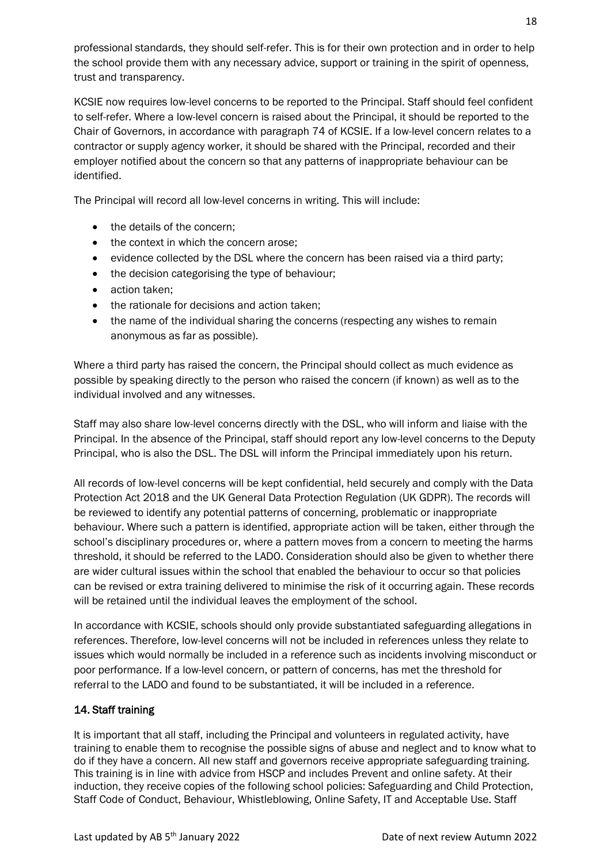professional standards, they should self-refer. This is for their own protection and in order to help the school provide them with any necessary advice, support or training in the spirit of openness, trust and transparency.

KCSIE now requires low-level concerns to be reported to the Principal. Staff should feel confident to self-refer. Where a low-level concern is raised about the Principal, it should be reported to the Chair of Governors, in accordance with paragraph 74 of KCSIE. If a low-level concern relates to a contractor or supply agency worker, it should be shared with the Principal, recorded and their employer notified about the concern so that any patterns of inappropriate behaviour can be identified.

The Principal will record all low-level concerns in writing. This will include:

- the details of the concern;
- the context in which the concern arose:
- evidence collected by the DSL where the concern has been raised via a third party;
- the decision categorising the type of behaviour;
- action taken:
- the rationale for decisions and action taken;
- the name of the individual sharing the concerns (respecting any wishes to remain anonymous as far as possible).

Where a third party has raised the concern, the Principal should collect as much evidence as possible by speaking directly to the person who raised the concern (if known) as well as to the individual involved and any witnesses.

Staff may also share low-level concerns directly with the DSL, who will inform and liaise with the Principal. In the absence of the Principal, staff should report any low-level concerns to the Deputy Principal, who is also the DSL. The DSL will inform the Principal immediately upon his return.

All records of low-level concerns will be kept confidential, held securely and comply with the Data Protection Act 2018 and the UK General Data Protection Regulation (UK GDPR). The records will be reviewed to identify any potential patterns of concerning, problematic or inappropriate behaviour. Where such a pattern is identified, appropriate action will be taken, either through the school's disciplinary procedures or, where a pattern moves from a concern to meeting the harms threshold, it should be referred to the LADO. Consideration should also be given to whether there are wider cultural issues within the school that enabled the behaviour to occur so that policies can be revised or extra training delivered to minimise the risk of it occurring again. These records will be retained until the individual leaves the employment of the school.

In accordance with KCSIE, schools should only provide substantiated safeguarding allegations in references. Therefore, low-level concerns will not be included in references unless they relate to issues which would normally be included in a reference such as incidents involving misconduct or poor performance. If a low-level concern, or pattern of concerns, has met the threshold for referral to the LADO and found to be substantiated, it will be included in a reference.

# 14. Staff training

It is important that all staff, including the Principal and volunteers in regulated activity, have training to enable them to recognise the possible signs of abuse and neglect and to know what to do if they have a concern. All new staff and governors receive appropriate safeguarding training. This training is in line with advice from HSCP and includes Prevent and online safety. At their induction, they receive copies of the following school policies: Safeguarding and Child Protection, Staff Code of Conduct, Behaviour, Whistleblowing, Online Safety, IT and Acceptable Use. Staff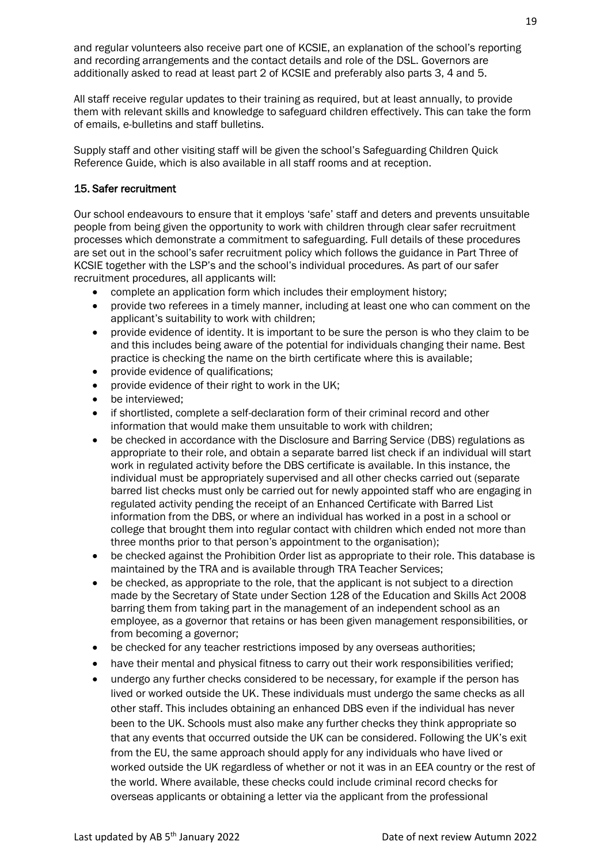and regular volunteers also receive part one of KCSIE, an explanation of the school's reporting and recording arrangements and the contact details and role of the DSL. Governors are additionally asked to read at least part 2 of KCSIE and preferably also parts 3, 4 and 5.

All staff receive regular updates to their training as required, but at least annually, to provide them with relevant skills and knowledge to safeguard children effectively. This can take the form of emails, e-bulletins and staff bulletins.

Supply staff and other visiting staff will be given the school's Safeguarding Children Quick Reference Guide, which is also available in all staff rooms and at reception.

## 15. Safer recruitment

Our school endeavours to ensure that it employs 'safe' staff and deters and prevents unsuitable people from being given the opportunity to work with children through clear safer recruitment processes which demonstrate a commitment to safeguarding. Full details of these procedures are set out in the school's safer recruitment policy which follows the guidance in Part Three of KCSIE together with the LSP's and the school's individual procedures. As part of our safer recruitment procedures, all applicants will:

- complete an application form which includes their employment history;
- provide two referees in a timely manner, including at least one who can comment on the applicant's suitability to work with children;
- provide evidence of identity. It is important to be sure the person is who they claim to be and this includes being aware of the potential for individuals changing their name. Best practice is checking the name on the birth certificate where this is available;
- provide evidence of qualifications;
- provide evidence of their right to work in the UK;
- be interviewed;
- if shortlisted, complete a self-declaration form of their criminal record and other information that would make them unsuitable to work with children;
- be checked in accordance with the Disclosure and Barring Service (DBS) regulations as appropriate to their role, and obtain a separate barred list check if an individual will start work in regulated activity before the DBS certificate is available. In this instance, the individual must be appropriately supervised and all other checks carried out (separate barred list checks must only be carried out for newly appointed staff who are engaging in regulated activity pending the receipt of an Enhanced Certificate with Barred List information from the DBS, or where an individual has worked in a post in a school or college that brought them into regular contact with children which ended not more than three months prior to that person's appointment to the organisation);
- be checked against the Prohibition Order list as appropriate to their role. This database is maintained by the TRA and is available through TRA Teacher Services;
- be checked, as appropriate to the role, that the applicant is not subject to a direction made by the Secretary of State under Section 128 of the Education and Skills Act 2008 barring them from taking part in the management of an independent school as an employee, as a governor that retains or has been given management responsibilities, or from becoming a governor;
- be checked for any teacher restrictions imposed by any overseas authorities;
- have their mental and physical fitness to carry out their work responsibilities verified;
- undergo any further checks considered to be necessary, for example if the person has lived or worked outside the UK. These individuals must undergo the same checks as all other staff. This includes obtaining an enhanced DBS even if the individual has never been to the UK. Schools must also make any further checks they think appropriate so that any events that occurred outside the UK can be considered. Following the UK's exit from the EU, the same approach should apply for any individuals who have lived or worked outside the UK regardless of whether or not it was in an EEA country or the rest of the world. Where available, these checks could include criminal record checks for overseas applicants or obtaining a letter via the applicant from the professional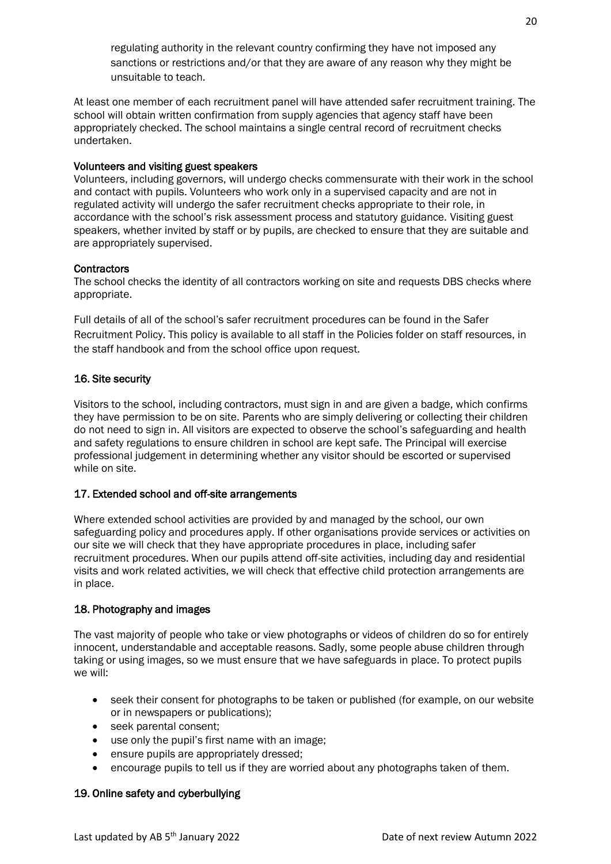regulating authority in the relevant country confirming they have not imposed any sanctions or restrictions and/or that they are aware of any reason why they might be unsuitable to teach.

At least one member of each recruitment panel will have attended safer recruitment training. The school will obtain written confirmation from supply agencies that agency staff have been appropriately checked. The school maintains a single central record of recruitment checks undertaken.

## Volunteers and visiting guest speakers

Volunteers, including governors, will undergo checks commensurate with their work in the school and contact with pupils. Volunteers who work only in a supervised capacity and are not in regulated activity will undergo the safer recruitment checks appropriate to their role, in accordance with the school's risk assessment process and statutory guidance. Visiting guest speakers, whether invited by staff or by pupils, are checked to ensure that they are suitable and are appropriately supervised.

## **Contractors**

The school checks the identity of all contractors working on site and requests DBS checks where appropriate.

Full details of all of the school's safer recruitment procedures can be found in the Safer Recruitment Policy. This policy is available to all staff in the Policies folder on staff resources, in the staff handbook and from the school office upon request.

# 16. Site security

Visitors to the school, including contractors, must sign in and are given a badge, which confirms they have permission to be on site. Parents who are simply delivering or collecting their children do not need to sign in. All visitors are expected to observe the school's safeguarding and health and safety regulations to ensure children in school are kept safe. The Principal will exercise professional judgement in determining whether any visitor should be escorted or supervised while on site.

## 17. Extended school and off-site arrangements

Where extended school activities are provided by and managed by the school, our own safeguarding policy and procedures apply. If other organisations provide services or activities on our site we will check that they have appropriate procedures in place, including safer recruitment procedures. When our pupils attend off-site activities, including day and residential visits and work related activities, we will check that effective child protection arrangements are in place.

## 18. Photography and images

The vast majority of people who take or view photographs or videos of children do so for entirely innocent, understandable and acceptable reasons. Sadly, some people abuse children through taking or using images, so we must ensure that we have safeguards in place. To protect pupils we will:

- seek their consent for photographs to be taken or published (for example, on our website or in newspapers or publications);
- seek parental consent;
- use only the pupil's first name with an image;
- ensure pupils are appropriately dressed;
- encourage pupils to tell us if they are worried about any photographs taken of them.

# 19. Online safety and cyberbullying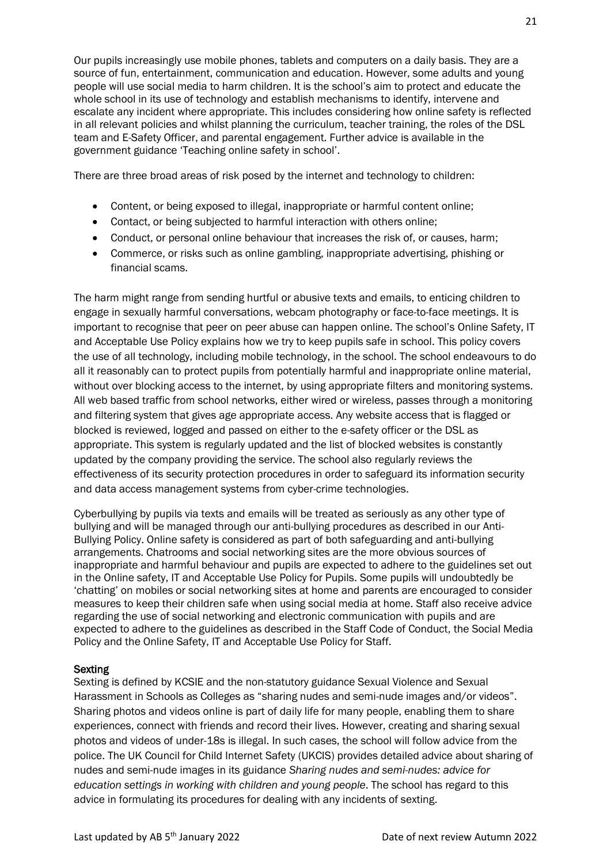Our pupils increasingly use mobile phones, tablets and computers on a daily basis. They are a source of fun, entertainment, communication and education. However, some adults and young people will use social media to harm children. It is the school's aim to protect and educate the whole school in its use of technology and establish mechanisms to identify, intervene and escalate any incident where appropriate. This includes considering how online safety is reflected in all relevant policies and whilst planning the curriculum, teacher training, the roles of the DSL team and E-Safety Officer, and parental engagement. Further advice is available in the government guidance 'Teaching online safety in school'.

There are three broad areas of risk posed by the internet and technology to children:

- Content, or being exposed to illegal, inappropriate or harmful content online;
- Contact, or being subjected to harmful interaction with others online;
- Conduct, or personal online behaviour that increases the risk of, or causes, harm;
- Commerce, or risks such as online gambling, inappropriate advertising, phishing or financial scams.

The harm might range from sending hurtful or abusive texts and emails, to enticing children to engage in sexually harmful conversations, webcam photography or face-to-face meetings. It is important to recognise that peer on peer abuse can happen online. The school's Online Safety, IT and Acceptable Use Policy explains how we try to keep pupils safe in school. This policy covers the use of all technology, including mobile technology, in the school. The school endeavours to do all it reasonably can to protect pupils from potentially harmful and inappropriate online material, without over blocking access to the internet, by using appropriate filters and monitoring systems. All web based traffic from school networks, either wired or wireless, passes through a monitoring and filtering system that gives age appropriate access. Any website access that is flagged or blocked is reviewed, logged and passed on either to the e-safety officer or the DSL as appropriate. This system is regularly updated and the list of blocked websites is constantly updated by the company providing the service. The school also regularly reviews the effectiveness of its security protection procedures in order to safeguard its information security and data access management systems from cyber-crime technologies.

Cyberbullying by pupils via texts and emails will be treated as seriously as any other type of bullying and will be managed through our anti-bullying procedures as described in our Anti-Bullying Policy. Online safety is considered as part of both safeguarding and anti-bullying arrangements. Chatrooms and social networking sites are the more obvious sources of inappropriate and harmful behaviour and pupils are expected to adhere to the guidelines set out in the Online safety, IT and Acceptable Use Policy for Pupils. Some pupils will undoubtedly be 'chatting' on mobiles or social networking sites at home and parents are encouraged to consider measures to keep their children safe when using social media at home. Staff also receive advice regarding the use of social networking and electronic communication with pupils and are expected to adhere to the guidelines as described in the Staff Code of Conduct, the Social Media Policy and the Online Safety, IT and Acceptable Use Policy for Staff.

# **Sexting**

Sexting is defined by KCSIE and the non-statutory guidance Sexual Violence and Sexual Harassment in Schools as Colleges as "sharing nudes and semi-nude images and/or videos". Sharing photos and videos online is part of daily life for many people, enabling them to share experiences, connect with friends and record their lives. However, creating and sharing sexual photos and videos of under-18s is illegal. In such cases, the school will follow advice from the police. The UK Council for Child Internet Safety (UKCIS) provides detailed advice about sharing of nudes and semi-nude images in its guidance *Sharing nudes and semi-nudes: advice for education settings in working with children and young people*. The school has regard to this advice in formulating its procedures for dealing with any incidents of sexting.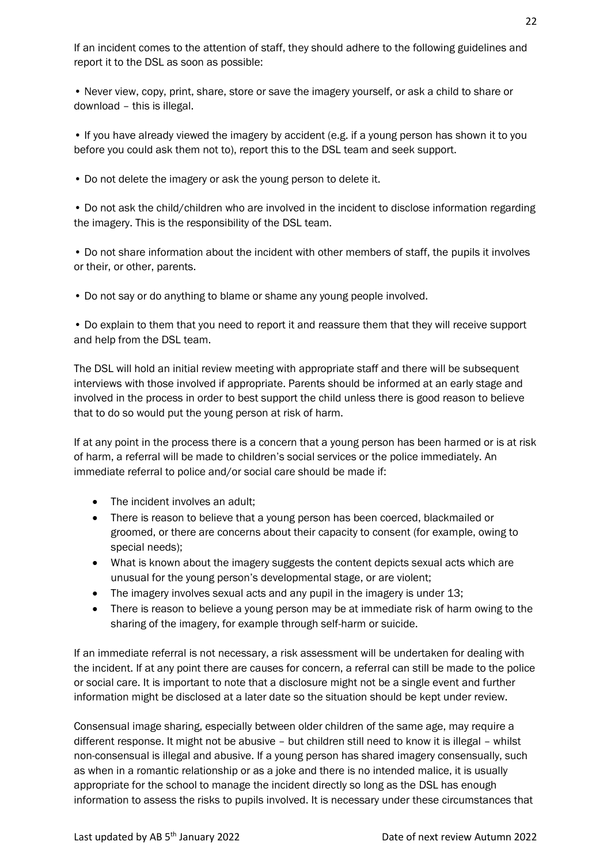If an incident comes to the attention of staff, they should adhere to the following guidelines and report it to the DSL as soon as possible:

• Never view, copy, print, share, store or save the imagery yourself, or ask a child to share or download – this is illegal.

• If you have already viewed the imagery by accident (e.g. if a young person has shown it to you before you could ask them not to), report this to the DSL team and seek support.

• Do not delete the imagery or ask the young person to delete it.

• Do not ask the child/children who are involved in the incident to disclose information regarding the imagery. This is the responsibility of the DSL team.

• Do not share information about the incident with other members of staff, the pupils it involves or their, or other, parents.

• Do not say or do anything to blame or shame any young people involved.

• Do explain to them that you need to report it and reassure them that they will receive support and help from the DSL team.

The DSL will hold an initial review meeting with appropriate staff and there will be subsequent interviews with those involved if appropriate. Parents should be informed at an early stage and involved in the process in order to best support the child unless there is good reason to believe that to do so would put the young person at risk of harm.

If at any point in the process there is a concern that a young person has been harmed or is at risk of harm, a referral will be made to children's social services or the police immediately. An immediate referral to police and/or social care should be made if:

- The incident involves an adult:
- There is reason to believe that a young person has been coerced, blackmailed or groomed, or there are concerns about their capacity to consent (for example, owing to special needs);
- What is known about the imagery suggests the content depicts sexual acts which are unusual for the young person's developmental stage, or are violent;
- The imagery involves sexual acts and any pupil in the imagery is under 13;
- There is reason to believe a young person may be at immediate risk of harm owing to the sharing of the imagery, for example through self-harm or suicide.

If an immediate referral is not necessary, a risk assessment will be undertaken for dealing with the incident. If at any point there are causes for concern, a referral can still be made to the police or social care. It is important to note that a disclosure might not be a single event and further information might be disclosed at a later date so the situation should be kept under review.

Consensual image sharing, especially between older children of the same age, may require a different response. It might not be abusive – but children still need to know it is illegal – whilst non-consensual is illegal and abusive. If a young person has shared imagery consensually, such as when in a romantic relationship or as a joke and there is no intended malice, it is usually appropriate for the school to manage the incident directly so long as the DSL has enough information to assess the risks to pupils involved. It is necessary under these circumstances that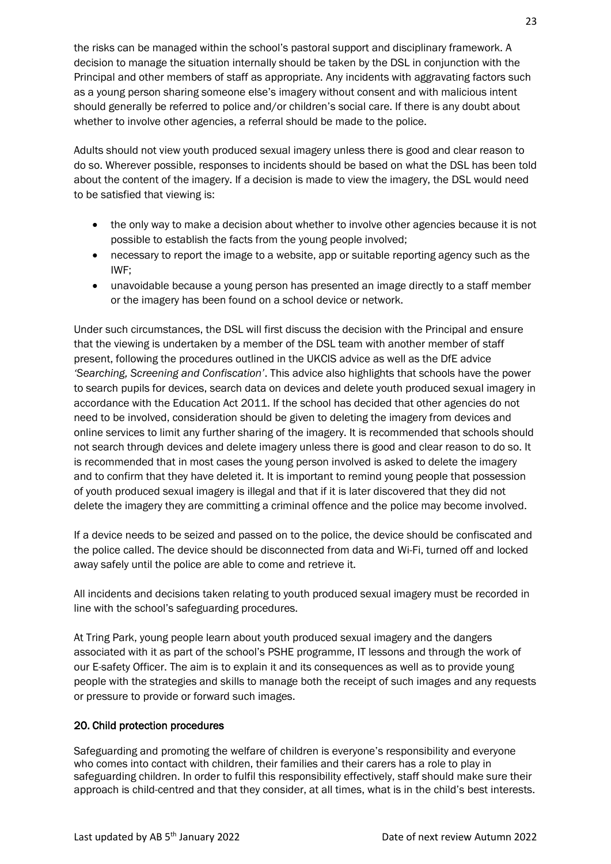the risks can be managed within the school's pastoral support and disciplinary framework. A decision to manage the situation internally should be taken by the DSL in conjunction with the Principal and other members of staff as appropriate. Any incidents with aggravating factors such as a young person sharing someone else's imagery without consent and with malicious intent should generally be referred to police and/or children's social care. If there is any doubt about whether to involve other agencies, a referral should be made to the police.

Adults should not view youth produced sexual imagery unless there is good and clear reason to do so. Wherever possible, responses to incidents should be based on what the DSL has been told about the content of the imagery. If a decision is made to view the imagery, the DSL would need to be satisfied that viewing is:

- the only way to make a decision about whether to involve other agencies because it is not possible to establish the facts from the young people involved;
- necessary to report the image to a website, app or suitable reporting agency such as the IWF;
- unavoidable because a young person has presented an image directly to a staff member or the imagery has been found on a school device or network.

Under such circumstances, the DSL will first discuss the decision with the Principal and ensure that the viewing is undertaken by a member of the DSL team with another member of staff present, following the procedures outlined in the UKCIS advice as well as the DfE advice *'Searching, Screening and Confiscation'*. This advice also highlights that schools have the power to search pupils for devices, search data on devices and delete youth produced sexual imagery in accordance with the Education Act 2011. If the school has decided that other agencies do not need to be involved, consideration should be given to deleting the imagery from devices and online services to limit any further sharing of the imagery. It is recommended that schools should not search through devices and delete imagery unless there is good and clear reason to do so. It is recommended that in most cases the young person involved is asked to delete the imagery and to confirm that they have deleted it. It is important to remind young people that possession of youth produced sexual imagery is illegal and that if it is later discovered that they did not delete the imagery they are committing a criminal offence and the police may become involved.

If a device needs to be seized and passed on to the police, the device should be confiscated and the police called. The device should be disconnected from data and Wi-Fi, turned off and locked away safely until the police are able to come and retrieve it.

All incidents and decisions taken relating to youth produced sexual imagery must be recorded in line with the school's safeguarding procedures.

At Tring Park, young people learn about youth produced sexual imagery and the dangers associated with it as part of the school's PSHE programme, IT lessons and through the work of our E-safety Officer. The aim is to explain it and its consequences as well as to provide young people with the strategies and skills to manage both the receipt of such images and any requests or pressure to provide or forward such images.

# 20. Child protection procedures

Safeguarding and promoting the welfare of children is everyone's responsibility and everyone who comes into contact with children, their families and their carers has a role to play in safeguarding children. In order to fulfil this responsibility effectively, staff should make sure their approach is child-centred and that they consider, at all times, what is in the child's best interests.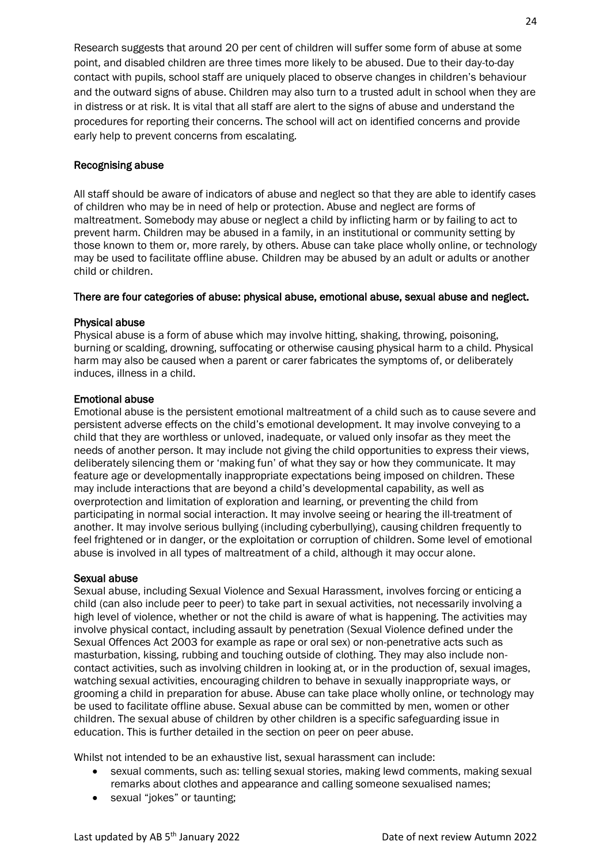Research suggests that around 20 per cent of children will suffer some form of abuse at some point, and disabled children are three times more likely to be abused. Due to their day-to-day contact with pupils, school staff are uniquely placed to observe changes in children's behaviour and the outward signs of abuse. Children may also turn to a trusted adult in school when they are in distress or at risk. It is vital that all staff are alert to the signs of abuse and understand the procedures for reporting their concerns. The school will act on identified concerns and provide early help to prevent concerns from escalating.

## Recognising abuse

All staff should be aware of indicators of abuse and neglect so that they are able to identify cases of children who may be in need of help or protection. Abuse and neglect are forms of maltreatment. Somebody may abuse or neglect a child by inflicting harm or by failing to act to prevent harm. Children may be abused in a family, in an institutional or community setting by those known to them or, more rarely, by others. Abuse can take place wholly online, or technology may be used to facilitate offline abuse. Children may be abused by an adult or adults or another child or children.

#### There are four categories of abuse: physical abuse, emotional abuse, sexual abuse and neglect.

#### Physical abuse

Physical abuse is a form of abuse which may involve hitting, shaking, throwing, poisoning, burning or scalding, drowning, suffocating or otherwise causing physical harm to a child. Physical harm may also be caused when a parent or carer fabricates the symptoms of, or deliberately induces, illness in a child.

## Emotional abuse

Emotional abuse is the persistent emotional maltreatment of a child such as to cause severe and persistent adverse effects on the child's emotional development. It may involve conveying to a child that they are worthless or unloved, inadequate, or valued only insofar as they meet the needs of another person. It may include not giving the child opportunities to express their views, deliberately silencing them or 'making fun' of what they say or how they communicate. It may feature age or developmentally inappropriate expectations being imposed on children. These may include interactions that are beyond a child's developmental capability, as well as overprotection and limitation of exploration and learning, or preventing the child from participating in normal social interaction. It may involve seeing or hearing the ill-treatment of another. It may involve serious bullying (including cyberbullying), causing children frequently to feel frightened or in danger, or the exploitation or corruption of children. Some level of emotional abuse is involved in all types of maltreatment of a child, although it may occur alone.

#### Sexual abuse

Sexual abuse, including Sexual Violence and Sexual Harassment, involves forcing or enticing a child (can also include peer to peer) to take part in sexual activities, not necessarily involving a high level of violence, whether or not the child is aware of what is happening. The activities may involve physical contact, including assault by penetration (Sexual Violence defined under the Sexual Offences Act 2003 for example as rape or oral sex) or non-penetrative acts such as masturbation, kissing, rubbing and touching outside of clothing. They may also include noncontact activities, such as involving children in looking at, or in the production of, sexual images, watching sexual activities, encouraging children to behave in sexually inappropriate ways, or grooming a child in preparation for abuse. Abuse can take place wholly online, or technology may be used to facilitate offline abuse. Sexual abuse can be committed by men, women or other children. The sexual abuse of children by other children is a specific safeguarding issue in education. This is further detailed in the section on peer on peer abuse.

Whilst not intended to be an exhaustive list, sexual harassment can include:

- sexual comments, such as: telling sexual stories, making lewd comments, making sexual remarks about clothes and appearance and calling someone sexualised names;
- sexual "jokes" or taunting;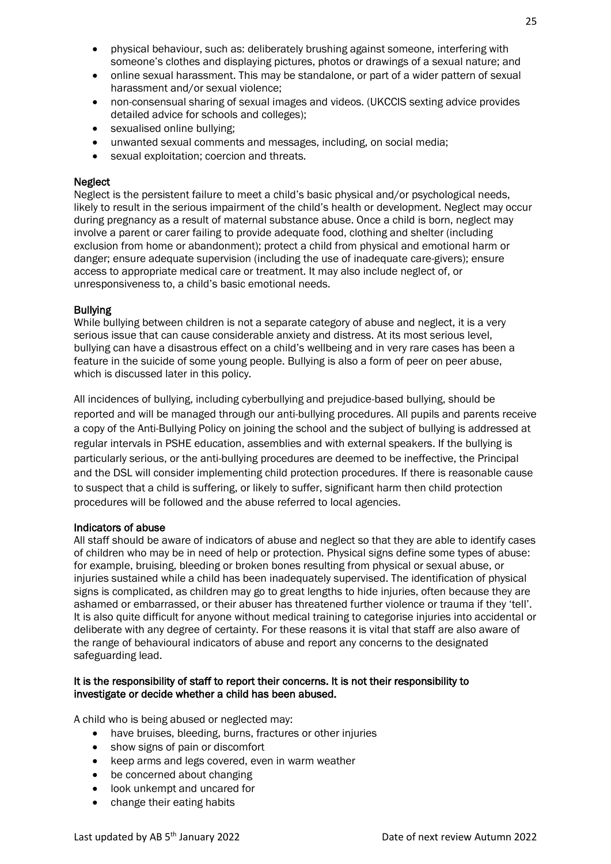- physical behaviour, such as: deliberately brushing against someone, interfering with someone's clothes and displaying pictures, photos or drawings of a sexual nature; and
- online sexual harassment. This may be standalone, or part of a wider pattern of sexual harassment and/or sexual violence;
- non-consensual sharing of sexual images and videos. (UKCCIS sexting advice provides detailed advice for schools and colleges);
- sexualised online bullying;
- unwanted sexual comments and messages, including, on social media;
- sexual exploitation; coercion and threats.

## **Neglect**

Neglect is the persistent failure to meet a child's basic physical and/or psychological needs, likely to result in the serious impairment of the child's health or development. Neglect may occur during pregnancy as a result of maternal substance abuse. Once a child is born, neglect may involve a parent or carer failing to provide adequate food, clothing and shelter (including exclusion from home or abandonment); protect a child from physical and emotional harm or danger; ensure adequate supervision (including the use of inadequate care-givers); ensure access to appropriate medical care or treatment. It may also include neglect of, or unresponsiveness to, a child's basic emotional needs.

## **Bullving**

While bullying between children is not a separate category of abuse and neglect, it is a very serious issue that can cause considerable anxiety and distress. At its most serious level, bullying can have a disastrous effect on a child's wellbeing and in very rare cases has been a feature in the suicide of some young people. Bullying is also a form of peer on peer abuse, which is discussed later in this policy.

All incidences of bullying, including cyberbullying and prejudice-based bullying, should be reported and will be managed through our anti-bullying procedures. All pupils and parents receive a copy of the Anti-Bullying Policy on joining the school and the subject of bullying is addressed at regular intervals in PSHE education, assemblies and with external speakers. If the bullying is particularly serious, or the anti-bullying procedures are deemed to be ineffective, the Principal and the DSL will consider implementing child protection procedures. If there is reasonable cause to suspect that a child is suffering, or likely to suffer, significant harm then child protection procedures will be followed and the abuse referred to local agencies.

## Indicators of abuse

All staff should be aware of indicators of abuse and neglect so that they are able to identify cases of children who may be in need of help or protection. Physical signs define some types of abuse: for example, bruising, bleeding or broken bones resulting from physical or sexual abuse, or injuries sustained while a child has been inadequately supervised. The identification of physical signs is complicated, as children may go to great lengths to hide injuries, often because they are ashamed or embarrassed, or their abuser has threatened further violence or trauma if they 'tell'. It is also quite difficult for anyone without medical training to categorise injuries into accidental or deliberate with any degree of certainty. For these reasons it is vital that staff are also aware of the range of behavioural indicators of abuse and report any concerns to the designated safeguarding lead.

# It is the responsibility of staff to report their concerns. It is not their responsibility to investigate or decide whether a child has been abused.

A child who is being abused or neglected may:

- have bruises, bleeding, burns, fractures or other injuries
- show signs of pain or discomfort
- keep arms and legs covered, even in warm weather
- be concerned about changing
- look unkempt and uncared for
- change their eating habits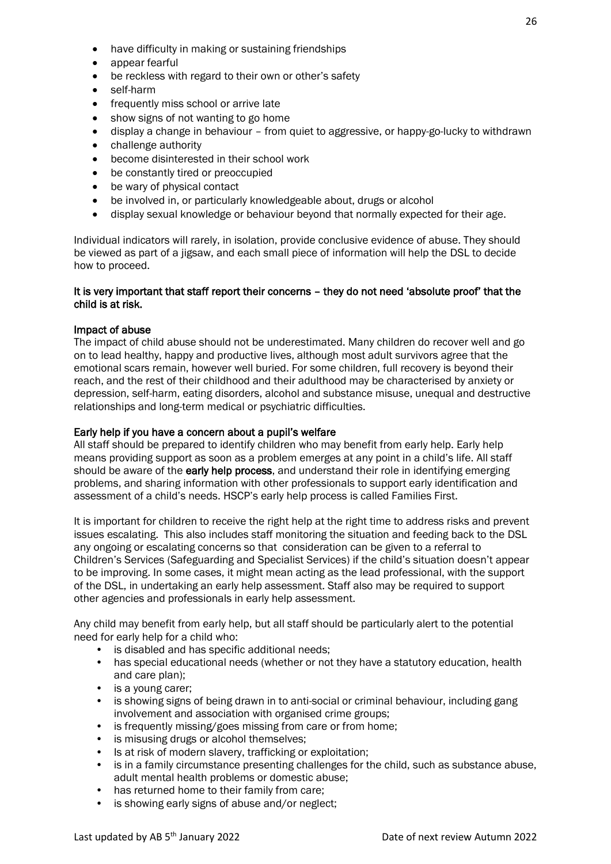- have difficulty in making or sustaining friendships
- appear fearful
- be reckless with regard to their own or other's safety
- self-harm
- frequently miss school or arrive late
- show signs of not wanting to go home
- display a change in behaviour from quiet to aggressive, or happy-go-lucky to withdrawn
- challenge authority
- become disinterested in their school work
- be constantly tired or preoccupied
- be wary of physical contact
- be involved in, or particularly knowledgeable about, drugs or alcohol
- display sexual knowledge or behaviour beyond that normally expected for their age.

Individual indicators will rarely, in isolation, provide conclusive evidence of abuse. They should be viewed as part of a jigsaw, and each small piece of information will help the DSL to decide how to proceed.

## It is very important that staff report their concerns – they do not need 'absolute proof' that the child is at risk.

## Impact of abuse

The impact of child abuse should not be underestimated. Many children do recover well and go on to lead healthy, happy and productive lives, although most adult survivors agree that the emotional scars remain, however well buried. For some children, full recovery is beyond their reach, and the rest of their childhood and their adulthood may be characterised by anxiety or depression, self-harm, eating disorders, alcohol and substance misuse, unequal and destructive relationships and long-term medical or psychiatric difficulties.

# Early help if you have a concern about a pupil's welfare

All staff should be prepared to identify children who may benefit from early help. Early help means providing support as soon as a problem emerges at any point in a child's life. All staff should be aware of the early help process, and understand their role in identifying emerging problems, and sharing information with other professionals to support early identification and assessment of a child's needs. HSCP's early help process is called Families First.

It is important for children to receive the right help at the right time to address risks and prevent issues escalating. This also includes staff monitoring the situation and feeding back to the DSL any ongoing or escalating concerns so that consideration can be given to a referral to Children's Services (Safeguarding and Specialist Services) if the child's situation doesn't appear to be improving. In some cases, it might mean acting as the lead professional, with the support of the DSL, in undertaking an early help assessment. Staff also may be required to support other agencies and professionals in early help assessment.

Any child may benefit from early help, but all staff should be particularly alert to the potential need for early help for a child who:

- is disabled and has specific additional needs;
- has special educational needs (whether or not they have a statutory education, health and care plan);
- is a young carer;
- is showing signs of being drawn in to anti-social or criminal behaviour, including gang involvement and association with organised crime groups;
- is frequently missing/goes missing from care or from home;
- is misusing drugs or alcohol themselves;
- Is at risk of modern slavery, trafficking or exploitation;
- is in a family circumstance presenting challenges for the child, such as substance abuse, adult mental health problems or domestic abuse;
- has returned home to their family from care;
- is showing early signs of abuse and/or neglect;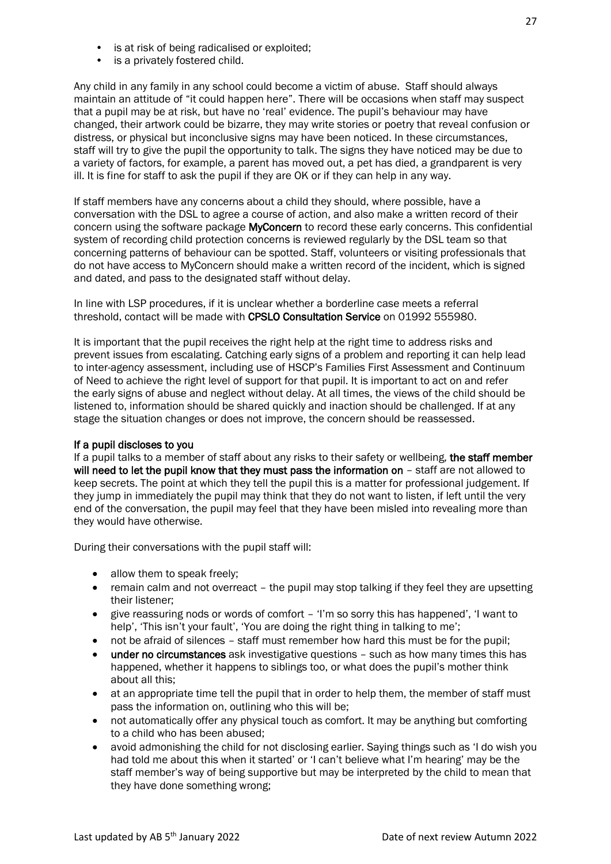- is at risk of being radicalised or exploited;
- is a privately fostered child.

Any child in any family in any school could become a victim of abuse. Staff should always maintain an attitude of "it could happen here". There will be occasions when staff may suspect that a pupil may be at risk, but have no 'real' evidence. The pupil's behaviour may have changed, their artwork could be bizarre, they may write stories or poetry that reveal confusion or distress, or physical but inconclusive signs may have been noticed. In these circumstances, staff will try to give the pupil the opportunity to talk. The signs they have noticed may be due to a variety of factors, for example, a parent has moved out, a pet has died, a grandparent is very ill. It is fine for staff to ask the pupil if they are OK or if they can help in any way.

If staff members have any concerns about a child they should, where possible, have a conversation with the DSL to agree a course of action, and also make a written record of their concern using the software package MyConcern to record these early concerns. This confidential system of recording child protection concerns is reviewed regularly by the DSL team so that concerning patterns of behaviour can be spotted. Staff, volunteers or visiting professionals that do not have access to MyConcern should make a written record of the incident, which is signed and dated, and pass to the designated staff without delay.

In line with LSP procedures, if it is unclear whether a borderline case meets a referral threshold, contact will be made with CPSLO Consultation Service on 01992 555980.

It is important that the pupil receives the right help at the right time to address risks and prevent issues from escalating. Catching early signs of a problem and reporting it can help lead to inter-agency assessment, including use of HSCP's Families First Assessment and Continuum of Need to achieve the right level of support for that pupil. It is important to act on and refer the early signs of abuse and neglect without delay. At all times, the views of the child should be listened to, information should be shared quickly and inaction should be challenged. If at any stage the situation changes or does not improve, the concern should be reassessed.

## If a pupil discloses to you

If a pupil talks to a member of staff about any risks to their safety or wellbeing, the staff member will need to let the pupil know that they must pass the information on - staff are not allowed to keep secrets. The point at which they tell the pupil this is a matter for professional judgement. If they jump in immediately the pupil may think that they do not want to listen, if left until the very end of the conversation, the pupil may feel that they have been misled into revealing more than they would have otherwise.

During their conversations with the pupil staff will:

- allow them to speak freely;
- remain calm and not overreact the pupil may stop talking if they feel they are upsetting their listener;
- give reassuring nods or words of comfort 'I'm so sorry this has happened', 'I want to help', 'This isn't your fault', 'You are doing the right thing in talking to me';
- not be afraid of silences staff must remember how hard this must be for the pupil;
- under no circumstances ask investigative questions such as how many times this has happened, whether it happens to siblings too, or what does the pupil's mother think about all this;
- at an appropriate time tell the pupil that in order to help them, the member of staff must pass the information on, outlining who this will be;
- not automatically offer any physical touch as comfort. It may be anything but comforting to a child who has been abused;
- avoid admonishing the child for not disclosing earlier. Saying things such as 'I do wish you had told me about this when it started' or 'I can't believe what I'm hearing' may be the staff member's way of being supportive but may be interpreted by the child to mean that they have done something wrong;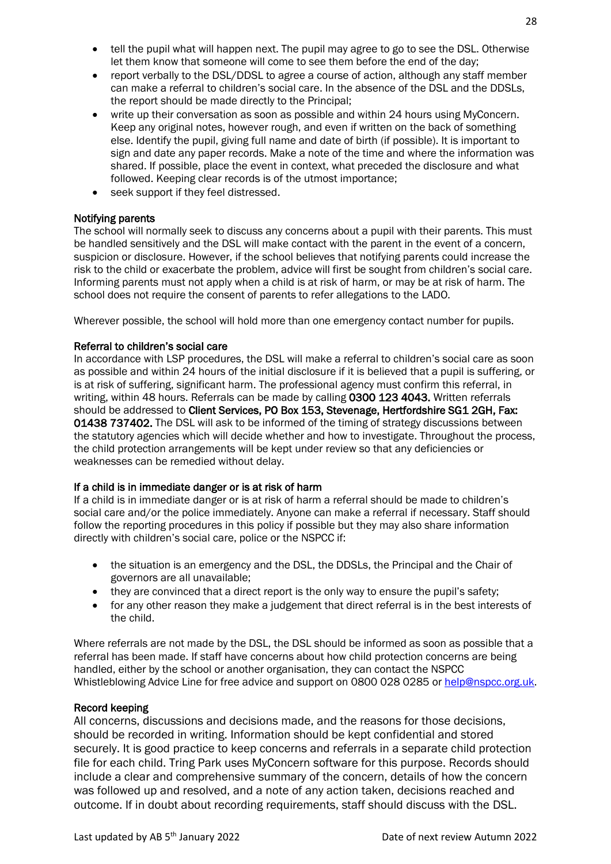- tell the pupil what will happen next. The pupil may agree to go to see the DSL. Otherwise let them know that someone will come to see them before the end of the day;
- report verbally to the DSL/DDSL to agree a course of action, although any staff member can make a referral to children's social care. In the absence of the DSL and the DDSLs, the report should be made directly to the Principal;
- write up their conversation as soon as possible and within 24 hours using MyConcern. Keep any original notes, however rough, and even if written on the back of something else. Identify the pupil, giving full name and date of birth (if possible). It is important to sign and date any paper records. Make a note of the time and where the information was shared. If possible, place the event in context, what preceded the disclosure and what followed. Keeping clear records is of the utmost importance;
- seek support if they feel distressed.

## Notifying parents

The school will normally seek to discuss any concerns about a pupil with their parents. This must be handled sensitively and the DSL will make contact with the parent in the event of a concern, suspicion or disclosure. However, if the school believes that notifying parents could increase the risk to the child or exacerbate the problem, advice will first be sought from children's social care. Informing parents must not apply when a child is at risk of harm, or may be at risk of harm. The school does not require the consent of parents to refer allegations to the LADO.

Wherever possible, the school will hold more than one emergency contact number for pupils.

# Referral to children's social care

In accordance with LSP procedures, the DSL will make a referral to children's social care as soon as possible and within 24 hours of the initial disclosure if it is believed that a pupil is suffering, or is at risk of suffering, significant harm. The professional agency must confirm this referral, in writing, within 48 hours. Referrals can be made by calling 0300 123 4043. Written referrals should be addressed to Client Services, PO Box 153, Stevenage, Hertfordshire SG1 2GH, Fax: 01438 737402. The DSL will ask to be informed of the timing of strategy discussions between the statutory agencies which will decide whether and how to investigate. Throughout the process, the child protection arrangements will be kept under review so that any deficiencies or weaknesses can be remedied without delay.

# If a child is in immediate danger or is at risk of harm

If a child is in immediate danger or is at risk of harm a referral should be made to children's social care and/or the police immediately. Anyone can make a referral if necessary. Staff should follow the reporting procedures in this policy if possible but they may also share information directly with children's social care, police or the NSPCC if:

- the situation is an emergency and the DSL, the DDSLs, the Principal and the Chair of governors are all unavailable;
- they are convinced that a direct report is the only way to ensure the pupil's safety;
- for any other reason they make a judgement that direct referral is in the best interests of the child.

Where referrals are not made by the DSL, the DSL should be informed as soon as possible that a referral has been made. If staff have concerns about how child protection concerns are being handled, either by the school or another organisation, they can contact the NSPCC Whistleblowing Advice Line for free advice and support on 0800 028 0285 or [help@nspcc.org.uk.](mailto:help@nspcc.org.uk)

## Record keeping

All concerns, discussions and decisions made, and the reasons for those decisions, should be recorded in writing. Information should be kept confidential and stored securely. It is good practice to keep concerns and referrals in a separate child protection file for each child. Tring Park uses MyConcern software for this purpose. Records should include a clear and comprehensive summary of the concern, details of how the concern was followed up and resolved, and a note of any action taken, decisions reached and outcome. If in doubt about recording requirements, staff should discuss with the DSL.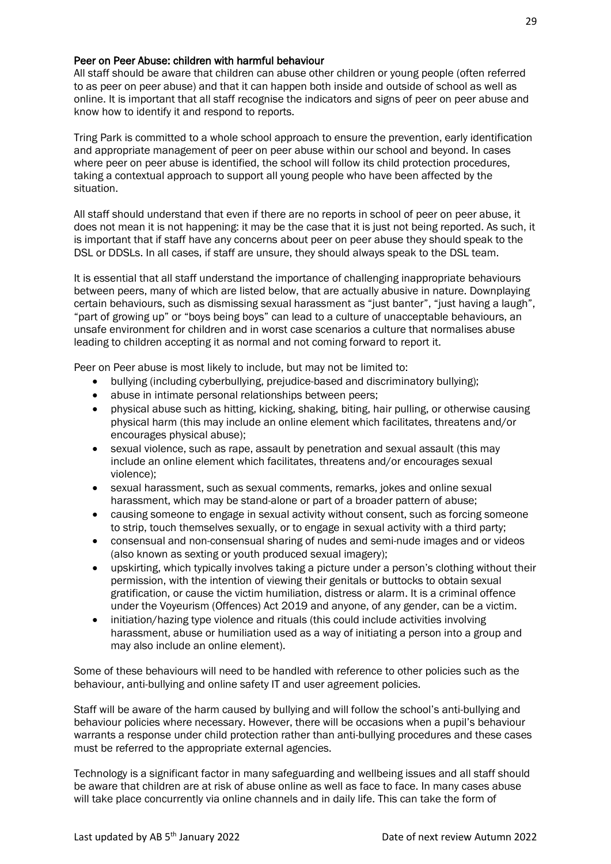## Peer on Peer Abuse: children with harmful behaviour

All staff should be aware that children can abuse other children or young people (often referred to as peer on peer abuse) and that it can happen both inside and outside of school as well as online. It is important that all staff recognise the indicators and signs of peer on peer abuse and know how to identify it and respond to reports.

Tring Park is committed to a whole school approach to ensure the prevention, early identification and appropriate management of peer on peer abuse within our school and beyond. In cases where peer on peer abuse is identified, the school will follow its child protection procedures, taking a contextual approach to support all young people who have been affected by the situation.

All staff should understand that even if there are no reports in school of peer on peer abuse, it does not mean it is not happening: it may be the case that it is just not being reported. As such, it is important that if staff have any concerns about peer on peer abuse they should speak to the DSL or DDSLs. In all cases, if staff are unsure, they should always speak to the DSL team.

It is essential that all staff understand the importance of challenging inappropriate behaviours between peers, many of which are listed below, that are actually abusive in nature. Downplaying certain behaviours, such as dismissing sexual harassment as "just banter", "just having a laugh", "part of growing up" or "boys being boys" can lead to a culture of unacceptable behaviours, an unsafe environment for children and in worst case scenarios a culture that normalises abuse leading to children accepting it as normal and not coming forward to report it.

Peer on Peer abuse is most likely to include, but may not be limited to:

- bullying (including cyberbullying, prejudice-based and discriminatory bullying);
- abuse in intimate personal relationships between peers;
- physical abuse such as hitting, kicking, shaking, biting, hair pulling, or otherwise causing physical harm (this may include an online element which facilitates, threatens and/or encourages physical abuse);
- sexual violence, such as rape, assault by penetration and sexual assault (this may include an online element which facilitates, threatens and/or encourages sexual violence);
- sexual harassment, such as sexual comments, remarks, jokes and online sexual harassment, which may be stand-alone or part of a broader pattern of abuse;
- causing someone to engage in sexual activity without consent, such as forcing someone to strip, touch themselves sexually, or to engage in sexual activity with a third party;
- consensual and non-consensual sharing of nudes and semi-nude images and or videos (also known as sexting or youth produced sexual imagery);
- upskirting, which typically involves taking a picture under a person's clothing without their permission, with the intention of viewing their genitals or buttocks to obtain sexual gratification, or cause the victim humiliation, distress or alarm. It is a criminal offence under the Voyeurism (Offences) Act 2019 and anyone, of any gender, can be a victim.
- initiation/hazing type violence and rituals (this could include activities involving harassment, abuse or humiliation used as a way of initiating a person into a group and may also include an online element).

Some of these behaviours will need to be handled with reference to other policies such as the behaviour, anti-bullying and online safety IT and user agreement policies.

Staff will be aware of the harm caused by bullying and will follow the school's anti-bullying and behaviour policies where necessary. However, there will be occasions when a pupil's behaviour warrants a response under child protection rather than anti-bullying procedures and these cases must be referred to the appropriate external agencies.

Technology is a significant factor in many safeguarding and wellbeing issues and all staff should be aware that children are at risk of abuse online as well as face to face. In many cases abuse will take place concurrently via online channels and in daily life. This can take the form of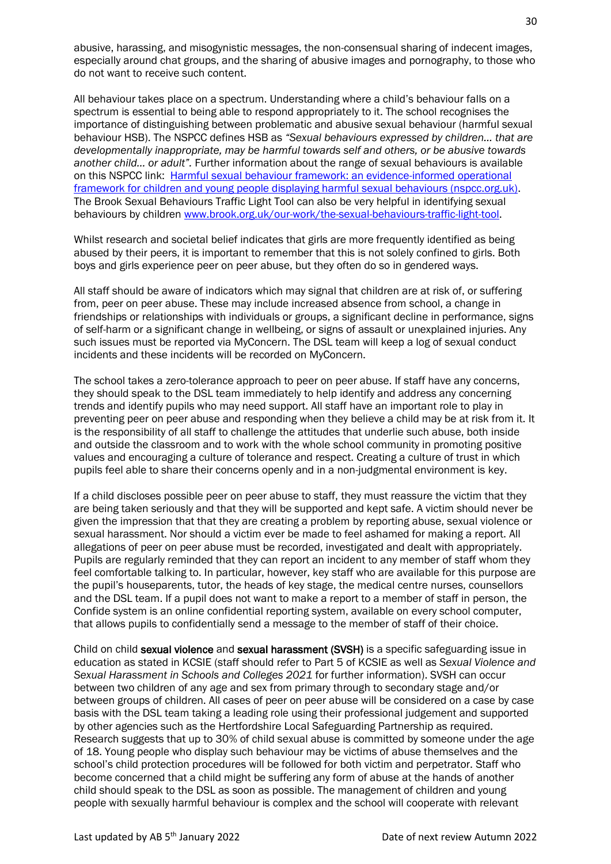abusive, harassing, and misogynistic messages, the non-consensual sharing of indecent images, especially around chat groups, and the sharing of abusive images and pornography, to those who do not want to receive such content.

All behaviour takes place on a spectrum. Understanding where a child's behaviour falls on a spectrum is essential to being able to respond appropriately to it. The school recognises the importance of distinguishing between problematic and abusive sexual behaviour (harmful sexual behaviour HSB). The NSPCC defines HSB as *"Sexual behaviours expressed by children… that are developmentally inappropriate, may be harmful towards self and others, or be abusive towards another child… or adult".* Further information about the range of sexual behaviours is available on this NSPCC link: [Harmful sexual behaviour framework: an evidence-informed operational](https://learning.nspcc.org.uk/media/1657/harmful-sexual-behaviour-framework.pdf)  [framework for children and young people displaying harmful sexual behaviours \(nspcc.org.uk\).](https://learning.nspcc.org.uk/media/1657/harmful-sexual-behaviour-framework.pdf) The Brook Sexual Behaviours Traffic Light Tool can also be very helpful in identifying sexual behaviours by children [www.brook.org.uk/our-work/the-sexual-behaviours-traffic-light-tool.](http://www.brook.org.uk/our-work/the-sexual-behaviours-traffic-light-tool)

Whilst research and societal belief indicates that girls are more frequently identified as being abused by their peers, it is important to remember that this is not solely confined to girls. Both boys and girls experience peer on peer abuse, but they often do so in gendered ways.

All staff should be aware of indicators which may signal that children are at risk of, or suffering from, peer on peer abuse. These may include increased absence from school, a change in friendships or relationships with individuals or groups, a significant decline in performance, signs of self-harm or a significant change in wellbeing, or signs of assault or unexplained injuries. Any such issues must be reported via MyConcern. The DSL team will keep a log of sexual conduct incidents and these incidents will be recorded on MyConcern.

The school takes a zero-tolerance approach to peer on peer abuse. If staff have any concerns, they should speak to the DSL team immediately to help identify and address any concerning trends and identify pupils who may need support. All staff have an important role to play in preventing peer on peer abuse and responding when they believe a child may be at risk from it. It is the responsibility of all staff to challenge the attitudes that underlie such abuse, both inside and outside the classroom and to work with the whole school community in promoting positive values and encouraging a culture of tolerance and respect. Creating a culture of trust in which pupils feel able to share their concerns openly and in a non-judgmental environment is key.

If a child discloses possible peer on peer abuse to staff, they must reassure the victim that they are being taken seriously and that they will be supported and kept safe. A victim should never be given the impression that that they are creating a problem by reporting abuse, sexual violence or sexual harassment. Nor should a victim ever be made to feel ashamed for making a report. All allegations of peer on peer abuse must be recorded, investigated and dealt with appropriately. Pupils are regularly reminded that they can report an incident to any member of staff whom they feel comfortable talking to. In particular, however, key staff who are available for this purpose are the pupil's houseparents, tutor, the heads of key stage, the medical centre nurses, counsellors and the DSL team. If a pupil does not want to make a report to a member of staff in person, the Confide system is an online confidential reporting system, available on every school computer, that allows pupils to confidentially send a message to the member of staff of their choice.

Child on child sexual violence and sexual harassment (SVSH) is a specific safeguarding issue in education as stated in KCSIE (staff should refer to Part 5 of KCSIE as well as *Sexual Violence and Sexual Harassment in Schools and Colleges 2021* for further information). SVSH can occur between two children of any age and sex from primary through to secondary stage and/or between groups of children. All cases of peer on peer abuse will be considered on a case by case basis with the DSL team taking a leading role using their professional judgement and supported by other agencies such as the Hertfordshire Local Safeguarding Partnership as required. Research suggests that up to 30% of child sexual abuse is committed by someone under the age of 18. Young people who display such behaviour may be victims of abuse themselves and the school's child protection procedures will be followed for both victim and perpetrator. Staff who become concerned that a child might be suffering any form of abuse at the hands of another child should speak to the DSL as soon as possible. The management of children and young people with sexually harmful behaviour is complex and the school will cooperate with relevant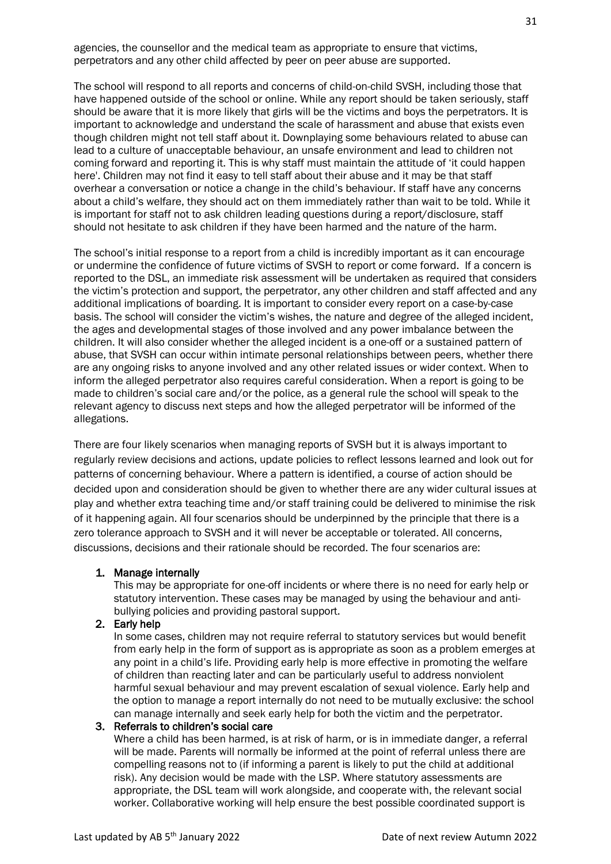agencies, the counsellor and the medical team as appropriate to ensure that victims, perpetrators and any other child affected by peer on peer abuse are supported.

The school will respond to all reports and concerns of child-on-child SVSH, including those that have happened outside of the school or online. While any report should be taken seriously, staff should be aware that it is more likely that girls will be the victims and boys the perpetrators. It is important to acknowledge and understand the scale of harassment and abuse that exists even though children might not tell staff about it. Downplaying some behaviours related to abuse can lead to a culture of unacceptable behaviour, an unsafe environment and lead to children not coming forward and reporting it. This is why staff must maintain the attitude of 'it could happen here'. Children may not find it easy to tell staff about their abuse and it may be that staff overhear a conversation or notice a change in the child's behaviour. If staff have any concerns about a child's welfare, they should act on them immediately rather than wait to be told. While it is important for staff not to ask children leading questions during a report/disclosure, staff should not hesitate to ask children if they have been harmed and the nature of the harm.

The school's initial response to a report from a child is incredibly important as it can encourage or undermine the confidence of future victims of SVSH to report or come forward. If a concern is reported to the DSL, an immediate risk assessment will be undertaken as required that considers the victim's protection and support, the perpetrator, any other children and staff affected and any additional implications of boarding. It is important to consider every report on a case-by-case basis. The school will consider the victim's wishes, the nature and degree of the alleged incident, the ages and developmental stages of those involved and any power imbalance between the children. It will also consider whether the alleged incident is a one-off or a sustained pattern of abuse, that SVSH can occur within intimate personal relationships between peers, whether there are any ongoing risks to anyone involved and any other related issues or wider context. When to inform the alleged perpetrator also requires careful consideration. When a report is going to be made to children's social care and/or the police, as a general rule the school will speak to the relevant agency to discuss next steps and how the alleged perpetrator will be informed of the allegations.

There are four likely scenarios when managing reports of SVSH but it is always important to regularly review decisions and actions, update policies to reflect lessons learned and look out for patterns of concerning behaviour. Where a pattern is identified, a course of action should be decided upon and consideration should be given to whether there are any wider cultural issues at play and whether extra teaching time and/or staff training could be delivered to minimise the risk of it happening again. All four scenarios should be underpinned by the principle that there is a zero tolerance approach to SVSH and it will never be acceptable or tolerated. All concerns, discussions, decisions and their rationale should be recorded. The four scenarios are:

#### 1. Manage internally

This may be appropriate for one-off incidents or where there is no need for early help or statutory intervention. These cases may be managed by using the behaviour and antibullying policies and providing pastoral support.

## 2. Early help

In some cases, children may not require referral to statutory services but would benefit from early help in the form of support as is appropriate as soon as a problem emerges at any point in a child's life. Providing early help is more effective in promoting the welfare of children than reacting later and can be particularly useful to address nonviolent harmful sexual behaviour and may prevent escalation of sexual violence. Early help and the option to manage a report internally do not need to be mutually exclusive: the school can manage internally and seek early help for both the victim and the perpetrator.

## 3. Referrals to children's social care

Where a child has been harmed, is at risk of harm, or is in immediate danger, a referral will be made. Parents will normally be informed at the point of referral unless there are compelling reasons not to (if informing a parent is likely to put the child at additional risk). Any decision would be made with the LSP. Where statutory assessments are appropriate, the DSL team will work alongside, and cooperate with, the relevant social worker. Collaborative working will help ensure the best possible coordinated support is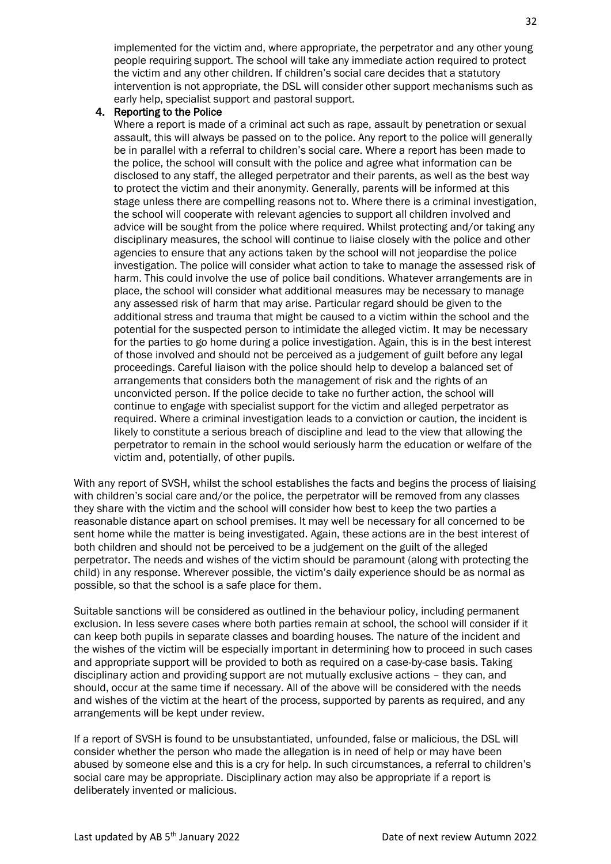implemented for the victim and, where appropriate, the perpetrator and any other young people requiring support. The school will take any immediate action required to protect the victim and any other children. If children's social care decides that a statutory intervention is not appropriate, the DSL will consider other support mechanisms such as early help, specialist support and pastoral support.

## 4. Reporting to the Police

Where a report is made of a criminal act such as rape, assault by penetration or sexual assault, this will always be passed on to the police. Any report to the police will generally be in parallel with a referral to children's social care. Where a report has been made to the police, the school will consult with the police and agree what information can be disclosed to any staff, the alleged perpetrator and their parents, as well as the best way to protect the victim and their anonymity. Generally, parents will be informed at this stage unless there are compelling reasons not to. Where there is a criminal investigation, the school will cooperate with relevant agencies to support all children involved and advice will be sought from the police where required. Whilst protecting and/or taking any disciplinary measures, the school will continue to liaise closely with the police and other agencies to ensure that any actions taken by the school will not jeopardise the police investigation. The police will consider what action to take to manage the assessed risk of harm. This could involve the use of police bail conditions. Whatever arrangements are in place, the school will consider what additional measures may be necessary to manage any assessed risk of harm that may arise. Particular regard should be given to the additional stress and trauma that might be caused to a victim within the school and the potential for the suspected person to intimidate the alleged victim. It may be necessary for the parties to go home during a police investigation. Again, this is in the best interest of those involved and should not be perceived as a judgement of guilt before any legal proceedings. Careful liaison with the police should help to develop a balanced set of arrangements that considers both the management of risk and the rights of an unconvicted person. If the police decide to take no further action, the school will continue to engage with specialist support for the victim and alleged perpetrator as required. Where a criminal investigation leads to a conviction or caution, the incident is likely to constitute a serious breach of discipline and lead to the view that allowing the perpetrator to remain in the school would seriously harm the education or welfare of the victim and, potentially, of other pupils.

With any report of SVSH, whilst the school establishes the facts and begins the process of liaising with children's social care and/or the police, the perpetrator will be removed from any classes they share with the victim and the school will consider how best to keep the two parties a reasonable distance apart on school premises. It may well be necessary for all concerned to be sent home while the matter is being investigated. Again, these actions are in the best interest of both children and should not be perceived to be a judgement on the guilt of the alleged perpetrator. The needs and wishes of the victim should be paramount (along with protecting the child) in any response. Wherever possible, the victim's daily experience should be as normal as possible, so that the school is a safe place for them.

Suitable sanctions will be considered as outlined in the behaviour policy, including permanent exclusion. In less severe cases where both parties remain at school, the school will consider if it can keep both pupils in separate classes and boarding houses. The nature of the incident and the wishes of the victim will be especially important in determining how to proceed in such cases and appropriate support will be provided to both as required on a case-by-case basis. Taking disciplinary action and providing support are not mutually exclusive actions – they can, and should, occur at the same time if necessary. All of the above will be considered with the needs and wishes of the victim at the heart of the process, supported by parents as required, and any arrangements will be kept under review.

If a report of SVSH is found to be unsubstantiated, unfounded, false or malicious, the DSL will consider whether the person who made the allegation is in need of help or may have been abused by someone else and this is a cry for help. In such circumstances, a referral to children's social care may be appropriate. Disciplinary action may also be appropriate if a report is deliberately invented or malicious.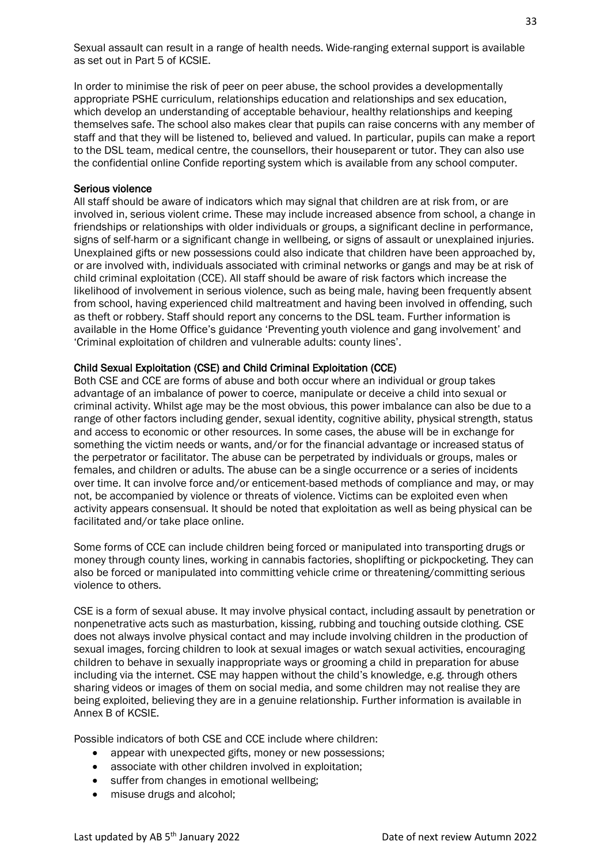Sexual assault can result in a range of health needs. Wide-ranging external support is available as set out in Part 5 of KCSIE.

In order to minimise the risk of peer on peer abuse, the school provides a developmentally appropriate PSHE curriculum, relationships education and relationships and sex education, which develop an understanding of acceptable behaviour, healthy relationships and keeping themselves safe. The school also makes clear that pupils can raise concerns with any member of staff and that they will be listened to, believed and valued. In particular, pupils can make a report to the DSL team, medical centre, the counsellors, their houseparent or tutor. They can also use the confidential online Confide reporting system which is available from any school computer.

## Serious violence

All staff should be aware of indicators which may signal that children are at risk from, or are involved in, serious violent crime. These may include increased absence from school, a change in friendships or relationships with older individuals or groups, a significant decline in performance, signs of self-harm or a significant change in wellbeing, or signs of assault or unexplained injuries. Unexplained gifts or new possessions could also indicate that children have been approached by, or are involved with, individuals associated with criminal networks or gangs and may be at risk of child criminal exploitation (CCE). All staff should be aware of risk factors which increase the likelihood of involvement in serious violence, such as being male, having been frequently absent from school, having experienced child maltreatment and having been involved in offending, such as theft or robbery. Staff should report any concerns to the DSL team. Further information is available in the Home Office's guidance 'Preventing youth violence and gang involvement' and 'Criminal exploitation of children and vulnerable adults: county lines'.

# Child Sexual Exploitation (CSE) and Child Criminal Exploitation (CCE)

Both CSE and CCE are forms of abuse and both occur where an individual or group takes advantage of an imbalance of power to coerce, manipulate or deceive a child into sexual or criminal activity. Whilst age may be the most obvious, this power imbalance can also be due to a range of other factors including gender, sexual identity, cognitive ability, physical strength, status and access to economic or other resources. In some cases, the abuse will be in exchange for something the victim needs or wants, and/or for the financial advantage or increased status of the perpetrator or facilitator. The abuse can be perpetrated by individuals or groups, males or females, and children or adults. The abuse can be a single occurrence or a series of incidents over time. It can involve force and/or enticement-based methods of compliance and may, or may not, be accompanied by violence or threats of violence. Victims can be exploited even when activity appears consensual. It should be noted that exploitation as well as being physical can be facilitated and/or take place online.

Some forms of CCE can include children being forced or manipulated into transporting drugs or money through county lines, working in cannabis factories, shoplifting or pickpocketing. They can also be forced or manipulated into committing vehicle crime or threatening/committing serious violence to others.

CSE is a form of sexual abuse. It may involve physical contact, including assault by penetration or nonpenetrative acts such as masturbation, kissing, rubbing and touching outside clothing. CSE does not always involve physical contact and may include involving children in the production of sexual images, forcing children to look at sexual images or watch sexual activities, encouraging children to behave in sexually inappropriate ways or grooming a child in preparation for abuse including via the internet. CSE may happen without the child's knowledge, e.g. through others sharing videos or images of them on social media, and some children may not realise they are being exploited, believing they are in a genuine relationship. Further information is available in Annex B of KCSIE.

Possible indicators of both CSE and CCE include where children:

- appear with unexpected gifts, money or new possessions;
- associate with other children involved in exploitation;
- suffer from changes in emotional wellbeing;
- misuse drugs and alcohol;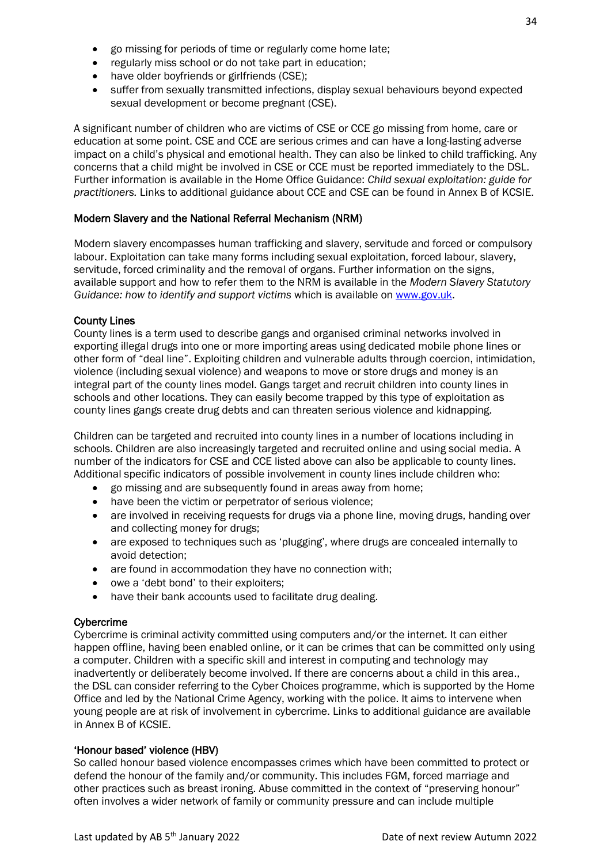- go missing for periods of time or regularly come home late;
- regularly miss school or do not take part in education;
- have older boyfriends or girlfriends (CSE);
- suffer from sexually transmitted infections, display sexual behaviours beyond expected sexual development or become pregnant (CSE).

A significant number of children who are victims of CSE or CCE go missing from home, care or education at some point. CSE and CCE are serious crimes and can have a long-lasting adverse impact on a child's physical and emotional health. They can also be linked to child trafficking. Any concerns that a child might be involved in CSE or CCE must be reported immediately to the DSL. Further information is available in the Home Office Guidance: *Child sexual exploitation: guide for practitioners.* Links to additional guidance about CCE and CSE can be found in Annex B of KCSIE.

## Modern Slavery and the National Referral Mechanism (NRM)

Modern slavery encompasses human trafficking and slavery, servitude and forced or compulsory labour. Exploitation can take many forms including sexual exploitation, forced labour, slavery, servitude, forced criminality and the removal of organs. Further information on the signs, available support and how to refer them to the NRM is available in the *Modern Slavery Statutory*  Guidance: how to identify and support victims which is available on [www.gov.uk.](http://www.gov.uk/)

## County Lines

County lines is a term used to describe gangs and organised criminal networks involved in exporting illegal drugs into one or more importing areas using dedicated mobile phone lines or other form of "deal line". Exploiting children and vulnerable adults through coercion, intimidation, violence (including sexual violence) and weapons to move or store drugs and money is an integral part of the county lines model. Gangs target and recruit children into county lines in schools and other locations. They can easily become trapped by this type of exploitation as county lines gangs create drug debts and can threaten serious violence and kidnapping.

Children can be targeted and recruited into county lines in a number of locations including in schools. Children are also increasingly targeted and recruited online and using social media. A number of the indicators for CSE and CCE listed above can also be applicable to county lines. Additional specific indicators of possible involvement in county lines include children who:

- go missing and are subsequently found in areas away from home;
- have been the victim or perpetrator of serious violence;
- are involved in receiving requests for drugs via a phone line, moving drugs, handing over and collecting money for drugs;
- are exposed to techniques such as 'plugging', where drugs are concealed internally to avoid detection;
- are found in accommodation they have no connection with;
- owe a 'debt bond' to their exploiters;
- have their bank accounts used to facilitate drug dealing.

# **Cybercrime**

Cybercrime is criminal activity committed using computers and/or the internet. It can either happen offline, having been enabled online, or it can be crimes that can be committed only using a computer. Children with a specific skill and interest in computing and technology may inadvertently or deliberately become involved. If there are concerns about a child in this area., the DSL can consider referring to the Cyber Choices programme, which is supported by the Home Office and led by the National Crime Agency, working with the police. It aims to intervene when young people are at risk of involvement in cybercrime. Links to additional guidance are available in Annex B of KCSIE.

## 'Honour based' violence (HBV)

So called honour based violence encompasses crimes which have been committed to protect or defend the honour of the family and/or community. This includes FGM, forced marriage and other practices such as breast ironing. Abuse committed in the context of "preserving honour" often involves a wider network of family or community pressure and can include multiple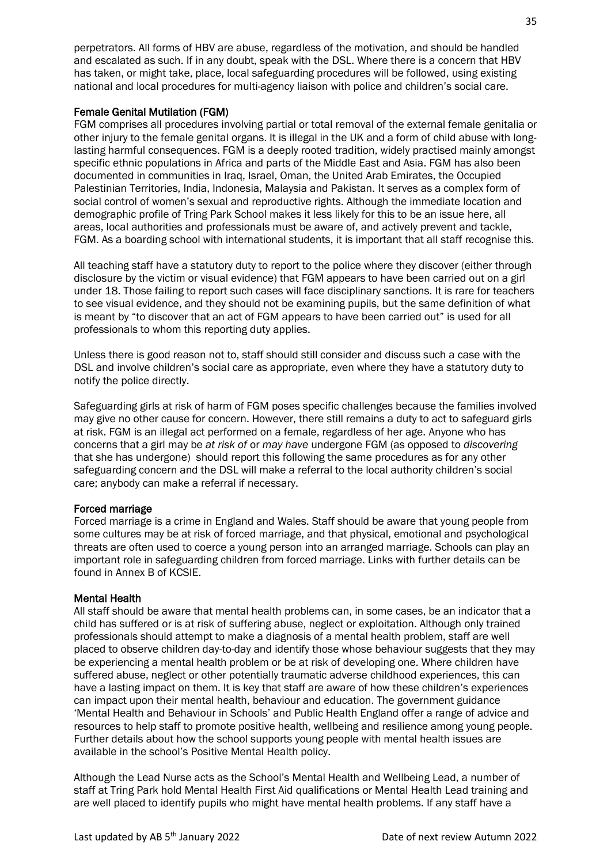perpetrators. All forms of HBV are abuse, regardless of the motivation, and should be handled and escalated as such. If in any doubt, speak with the DSL. Where there is a concern that HBV has taken, or might take, place, local safeguarding procedures will be followed, using existing national and local procedures for multi-agency liaison with police and children's social care.

## Female Genital Mutilation (FGM)

FGM comprises all procedures involving partial or total removal of the external female genitalia or other injury to the female genital organs. It is illegal in the UK and a form of child abuse with longlasting harmful consequences. FGM is a deeply rooted tradition, widely practised mainly amongst specific ethnic populations in Africa and parts of the Middle East and Asia. FGM has also been documented in communities in Iraq, Israel, Oman, the United Arab Emirates, the Occupied Palestinian Territories, India, Indonesia, Malaysia and Pakistan. It serves as a complex form of social control of women's sexual and reproductive rights. Although the immediate location and demographic profile of Tring Park School makes it less likely for this to be an issue here, all areas, local authorities and professionals must be aware of, and actively prevent and tackle, FGM. As a boarding school with international students, it is important that all staff recognise this.

All teaching staff have a statutory duty to report to the police where they discover (either through disclosure by the victim or visual evidence) that FGM appears to have been carried out on a girl under 18. Those failing to report such cases will face disciplinary sanctions. It is rare for teachers to see visual evidence, and they should not be examining pupils, but the same definition of what is meant by "to discover that an act of FGM appears to have been carried out" is used for all professionals to whom this reporting duty applies.

Unless there is good reason not to, staff should still consider and discuss such a case with the DSL and involve children's social care as appropriate, even where they have a statutory duty to notify the police directly.

Safeguarding girls at risk of harm of FGM poses specific challenges because the families involved may give no other cause for concern. However, there still remains a duty to act to safeguard girls at risk. FGM is an illegal act performed on a female, regardless of her age. Anyone who has concerns that a girl may be *at risk of* or *may have* undergone FGM (as opposed to *discovering* that she has undergone) should report this following the same procedures as for any other safeguarding concern and the DSL will make a referral to the local authority children's social care; anybody can make a referral if necessary.

## Forced marriage

Forced marriage is a crime in England and Wales. Staff should be aware that young people from some cultures may be at risk of forced marriage, and that physical, emotional and psychological threats are often used to coerce a young person into an arranged marriage. Schools can play an important role in safeguarding children from forced marriage. Links with further details can be found in Annex B of KCSIE.

## Mental Health

All staff should be aware that mental health problems can, in some cases, be an indicator that a child has suffered or is at risk of suffering abuse, neglect or exploitation. Although only trained professionals should attempt to make a diagnosis of a mental health problem, staff are well placed to observe children day-to-day and identify those whose behaviour suggests that they may be experiencing a mental health problem or be at risk of developing one. Where children have suffered abuse, neglect or other potentially traumatic adverse childhood experiences, this can have a lasting impact on them. It is key that staff are aware of how these children's experiences can impact upon their mental health, behaviour and education. The government guidance 'Mental Health and Behaviour in Schools' and Public Health England offer a range of advice and resources to help staff to promote positive health, wellbeing and resilience among young people. Further details about how the school supports young people with mental health issues are available in the school's Positive Mental Health policy.

Although the Lead Nurse acts as the School's Mental Health and Wellbeing Lead, a number of staff at Tring Park hold Mental Health First Aid qualifications or Mental Health Lead training and are well placed to identify pupils who might have mental health problems. If any staff have a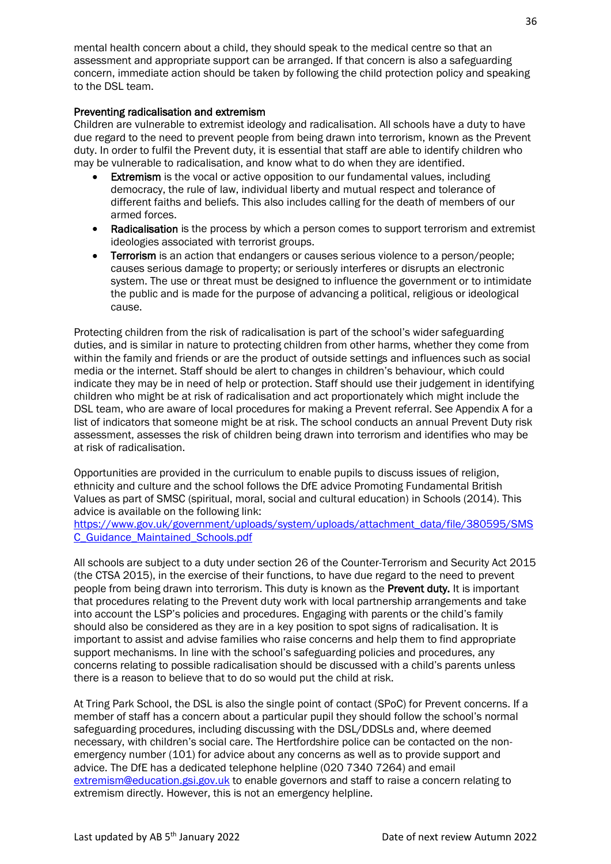mental health concern about a child, they should speak to the medical centre so that an assessment and appropriate support can be arranged. If that concern is also a safeguarding concern, immediate action should be taken by following the child protection policy and speaking to the DSL team.

# Preventing radicalisation and extremism

Children are vulnerable to extremist ideology and radicalisation. All schools have a duty to have due regard to the need to prevent people from being drawn into terrorism, known as the Prevent duty. In order to fulfil the Prevent duty, it is essential that staff are able to identify children who may be vulnerable to radicalisation, and know what to do when they are identified.

- Extremism is the vocal or active opposition to our fundamental values, including democracy, the rule of law, individual liberty and mutual respect and tolerance of different faiths and beliefs. This also includes calling for the death of members of our armed forces.
- Radicalisation is the process by which a person comes to support terrorism and extremist ideologies associated with terrorist groups.
- **Terrorism** is an action that endangers or causes serious violence to a person/people; causes serious damage to property; or seriously interferes or disrupts an electronic system. The use or threat must be designed to influence the government or to intimidate the public and is made for the purpose of advancing a political, religious or ideological cause.

Protecting children from the risk of radicalisation is part of the school's wider safeguarding duties, and is similar in nature to protecting children from other harms, whether they come from within the family and friends or are the product of outside settings and influences such as social media or the internet. Staff should be alert to changes in children's behaviour, which could indicate they may be in need of help or protection. Staff should use their judgement in identifying children who might be at risk of radicalisation and act proportionately which might include the DSL team, who are aware of local procedures for making a Prevent referral. See Appendix A for a list of indicators that someone might be at risk. The school conducts an annual Prevent Duty risk assessment, assesses the risk of children being drawn into terrorism and identifies who may be at risk of radicalisation.

Opportunities are provided in the curriculum to enable pupils to discuss issues of religion, ethnicity and culture and the school follows the DfE advice Promoting Fundamental British Values as part of SMSC (spiritual, moral, social and cultural education) in Schools (2014). This advice is available on the following link:

[https://www.gov.uk/government/uploads/system/uploads/attachment\\_data/file/380595/SMS](https://www.gov.uk/government/uploads/system/uploads/attachment_data/file/380595/SMSC_Guidance_Maintained_Schools.pdf) [C\\_Guidance\\_Maintained\\_Schools.pdf](https://www.gov.uk/government/uploads/system/uploads/attachment_data/file/380595/SMSC_Guidance_Maintained_Schools.pdf)

All schools are subject to a duty under section 26 of the Counter-Terrorism and Security Act 2015 (the CTSA 2015), in the exercise of their functions, to have due regard to the need to prevent people from being drawn into terrorism. This duty is known as the Prevent duty. It is important that procedures relating to the Prevent duty work with local partnership arrangements and take into account the LSP's policies and procedures. Engaging with parents or the child's family should also be considered as they are in a key position to spot signs of radicalisation. It is important to assist and advise families who raise concerns and help them to find appropriate support mechanisms. In line with the school's safeguarding policies and procedures, any concerns relating to possible radicalisation should be discussed with a child's parents unless there is a reason to believe that to do so would put the child at risk.

At Tring Park School, the DSL is also the single point of contact (SPoC) for Prevent concerns. If a member of staff has a concern about a particular pupil they should follow the school's normal safeguarding procedures, including discussing with the DSL/DDSLs and, where deemed necessary, with children's social care. The Hertfordshire police can be contacted on the nonemergency number (101) for advice about any concerns as well as to provide support and advice. The DfE has a dedicated telephone helpline (020 7340 7264) and email [extremism@education.gsi.gov.uk](mailto:extremism@education.gsi.gov.uk) to enable governors and staff to raise a concern relating to extremism directly. However, this is not an emergency helpline.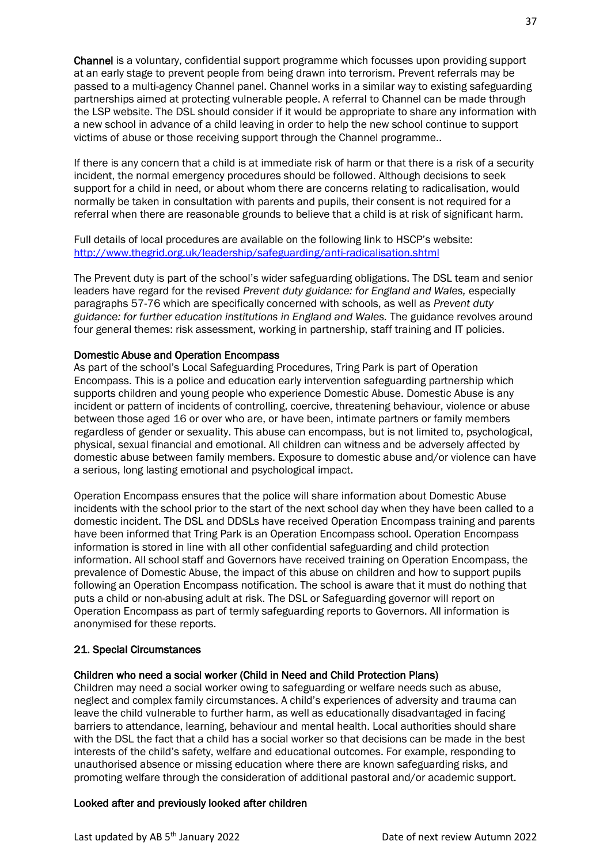Channel is a voluntary, confidential support programme which focusses upon providing support at an early stage to prevent people from being drawn into terrorism. Prevent referrals may be passed to a multi-agency Channel panel. Channel works in a similar way to existing safeguarding partnerships aimed at protecting vulnerable people. A referral to Channel can be made through the LSP website. The DSL should consider if it would be appropriate to share any information with a new school in advance of a child leaving in order to help the new school continue to support victims of abuse or those receiving support through the Channel programme..

If there is any concern that a child is at immediate risk of harm or that there is a risk of a security incident, the normal emergency procedures should be followed. Although decisions to seek support for a child in need, or about whom there are concerns relating to radicalisation, would normally be taken in consultation with parents and pupils, their consent is not required for a referral when there are reasonable grounds to believe that a child is at risk of significant harm.

Full details of local procedures are available on the following link to HSCP's website: <http://www.thegrid.org.uk/leadership/safeguarding/anti-radicalisation.shtml>

The Prevent duty is part of the school's wider safeguarding obligations. The DSL team and senior leaders have regard for the revised *Prevent duty guidance: for England and Wales,* especially paragraphs 57-76 which are specifically concerned with schools, as well as *Prevent duty guidance: for further education institutions in England and Wales.* The guidance revolves around four general themes: risk assessment, working in partnership, staff training and IT policies.

## Domestic Abuse and Operation Encompass

As part of the school's Local Safeguarding Procedures, Tring Park is part of Operation Encompass. This is a police and education early intervention safeguarding partnership which supports children and young people who experience Domestic Abuse. Domestic Abuse is any incident or pattern of incidents of controlling, coercive, threatening behaviour, violence or abuse between those aged 16 or over who are, or have been, intimate partners or family members regardless of gender or sexuality. This abuse can encompass, but is not limited to, psychological, physical, sexual financial and emotional. All children can witness and be adversely affected by domestic abuse between family members. Exposure to domestic abuse and/or violence can have a serious, long lasting emotional and psychological impact.

Operation Encompass ensures that the police will share information about Domestic Abuse incidents with the school prior to the start of the next school day when they have been called to a domestic incident. The DSL and DDSLs have received Operation Encompass training and parents have been informed that Tring Park is an Operation Encompass school. Operation Encompass information is stored in line with all other confidential safeguarding and child protection information. All school staff and Governors have received training on Operation Encompass, the prevalence of Domestic Abuse, the impact of this abuse on children and how to support pupils following an Operation Encompass notification. The school is aware that it must do nothing that puts a child or non-abusing adult at risk. The DSL or Safeguarding governor will report on Operation Encompass as part of termly safeguarding reports to Governors. All information is anonymised for these reports.

#### 21. Special Circumstances

## Children who need a social worker (Child in Need and Child Protection Plans)

Children may need a social worker owing to safeguarding or welfare needs such as abuse, neglect and complex family circumstances. A child's experiences of adversity and trauma can leave the child vulnerable to further harm, as well as educationally disadvantaged in facing barriers to attendance, learning, behaviour and mental health. Local authorities should share with the DSL the fact that a child has a social worker so that decisions can be made in the best interests of the child's safety, welfare and educational outcomes. For example, responding to unauthorised absence or missing education where there are known safeguarding risks, and promoting welfare through the consideration of additional pastoral and/or academic support.

## Looked after and previously looked after children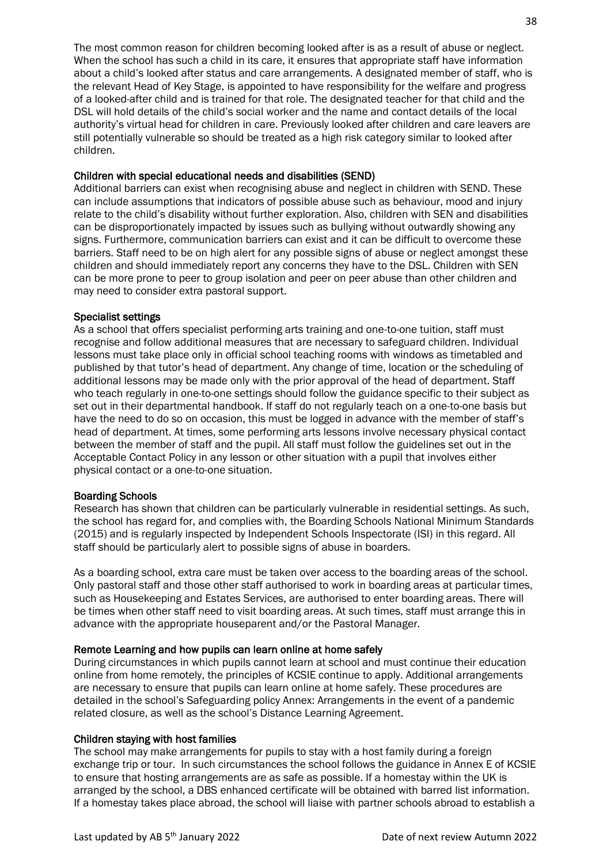The most common reason for children becoming looked after is as a result of abuse or neglect. When the school has such a child in its care, it ensures that appropriate staff have information about a child's looked after status and care arrangements. A designated member of staff, who is the relevant Head of Key Stage, is appointed to have responsibility for the welfare and progress of a looked-after child and is trained for that role. The designated teacher for that child and the DSL will hold details of the child's social worker and the name and contact details of the local authority's virtual head for children in care. Previously looked after children and care leavers are still potentially vulnerable so should be treated as a high risk category similar to looked after children.

#### Children with special educational needs and disabilities (SEND)

Additional barriers can exist when recognising abuse and neglect in children with SEND. These can include assumptions that indicators of possible abuse such as behaviour, mood and injury relate to the child's disability without further exploration. Also, children with SEN and disabilities can be disproportionately impacted by issues such as bullying without outwardly showing any signs. Furthermore, communication barriers can exist and it can be difficult to overcome these barriers. Staff need to be on high alert for any possible signs of abuse or neglect amongst these children and should immediately report any concerns they have to the DSL. Children with SEN can be more prone to peer to group isolation and peer on peer abuse than other children and may need to consider extra pastoral support.

#### Specialist settings

As a school that offers specialist performing arts training and one-to-one tuition, staff must recognise and follow additional measures that are necessary to safeguard children. Individual lessons must take place only in official school teaching rooms with windows as timetabled and published by that tutor's head of department. Any change of time, location or the scheduling of additional lessons may be made only with the prior approval of the head of department. Staff who teach regularly in one-to-one settings should follow the guidance specific to their subject as set out in their departmental handbook. If staff do not regularly teach on a one-to-one basis but have the need to do so on occasion, this must be logged in advance with the member of staff's head of department. At times, some performing arts lessons involve necessary physical contact between the member of staff and the pupil. All staff must follow the guidelines set out in the Acceptable Contact Policy in any lesson or other situation with a pupil that involves either physical contact or a one-to-one situation.

## Boarding Schools

Research has shown that children can be particularly vulnerable in residential settings. As such, the school has regard for, and complies with, the Boarding Schools National Minimum Standards (2015) and is regularly inspected by Independent Schools Inspectorate (ISI) in this regard. All staff should be particularly alert to possible signs of abuse in boarders.

As a boarding school, extra care must be taken over access to the boarding areas of the school. Only pastoral staff and those other staff authorised to work in boarding areas at particular times, such as Housekeeping and Estates Services, are authorised to enter boarding areas. There will be times when other staff need to visit boarding areas. At such times, staff must arrange this in advance with the appropriate houseparent and/or the Pastoral Manager.

#### Remote Learning and how pupils can learn online at home safely

During circumstances in which pupils cannot learn at school and must continue their education online from home remotely, the principles of KCSIE continue to apply. Additional arrangements are necessary to ensure that pupils can learn online at home safely. These procedures are detailed in the school's Safeguarding policy Annex: Arrangements in the event of a pandemic related closure, as well as the school's Distance Learning Agreement.

## Children staying with host families

The school may make arrangements for pupils to stay with a host family during a foreign exchange trip or tour. In such circumstances the school follows the guidance in Annex E of KCSIE to ensure that hosting arrangements are as safe as possible. If a homestay within the UK is arranged by the school, a DBS enhanced certificate will be obtained with barred list information. If a homestay takes place abroad, the school will liaise with partner schools abroad to establish a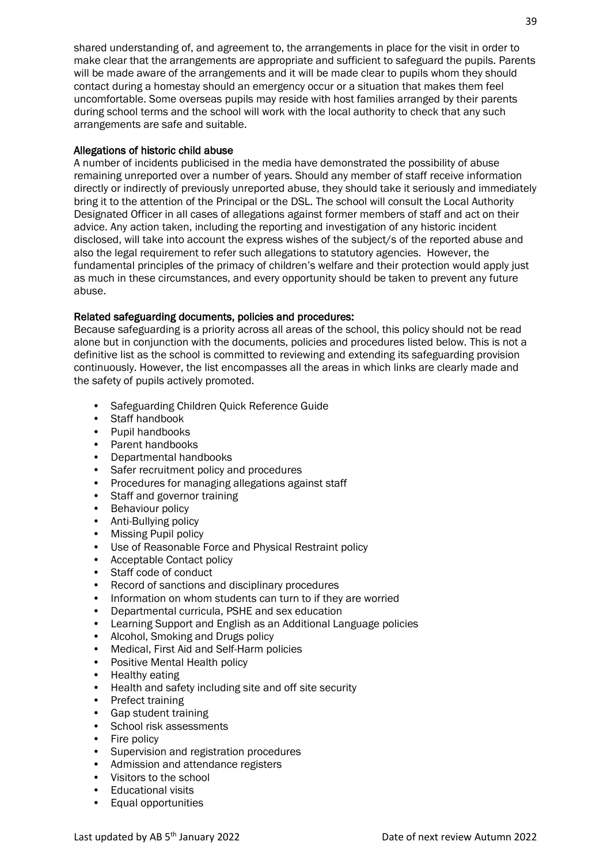shared understanding of, and agreement to, the arrangements in place for the visit in order to make clear that the arrangements are appropriate and sufficient to safeguard the pupils. Parents will be made aware of the arrangements and it will be made clear to pupils whom they should contact during a homestay should an emergency occur or a situation that makes them feel uncomfortable. Some overseas pupils may reside with host families arranged by their parents during school terms and the school will work with the local authority to check that any such arrangements are safe and suitable.

## Allegations of historic child abuse

A number of incidents publicised in the media have demonstrated the possibility of abuse remaining unreported over a number of years. Should any member of staff receive information directly or indirectly of previously unreported abuse, they should take it seriously and immediately bring it to the attention of the Principal or the DSL. The school will consult the Local Authority Designated Officer in all cases of allegations against former members of staff and act on their advice. Any action taken, including the reporting and investigation of any historic incident disclosed, will take into account the express wishes of the subject/s of the reported abuse and also the legal requirement to refer such allegations to statutory agencies. However, the fundamental principles of the primacy of children's welfare and their protection would apply just as much in these circumstances, and every opportunity should be taken to prevent any future abuse.

# Related safeguarding documents, policies and procedures:

Because safeguarding is a priority across all areas of the school, this policy should not be read alone but in conjunction with the documents, policies and procedures listed below. This is not a definitive list as the school is committed to reviewing and extending its safeguarding provision continuously. However, the list encompasses all the areas in which links are clearly made and the safety of pupils actively promoted.

- Safeguarding Children Quick Reference Guide
- Staff handbook
- Pupil handbooks
- Parent handbooks
- Departmental handbooks
- Safer recruitment policy and procedures
- Procedures for managing allegations against staff
- Staff and governor training
- Behaviour policy
- Anti-Bullying policy
- Missing Pupil policy
- Use of Reasonable Force and Physical Restraint policy
- Acceptable Contact policy
- Staff code of conduct
- Record of sanctions and disciplinary procedures
- Information on whom students can turn to if they are worried
- Departmental curricula, PSHE and sex education
- Learning Support and English as an Additional Language policies
- Alcohol, Smoking and Drugs policy
- Medical, First Aid and Self-Harm policies
- Positive Mental Health policy
- Healthy eating
- Health and safety including site and off site security
- Prefect training
- Gap student training
- School risk assessments
- Fire policy
- Supervision and registration procedures
- Admission and attendance registers
- Visitors to the school
- **Educational visits**
- Equal opportunities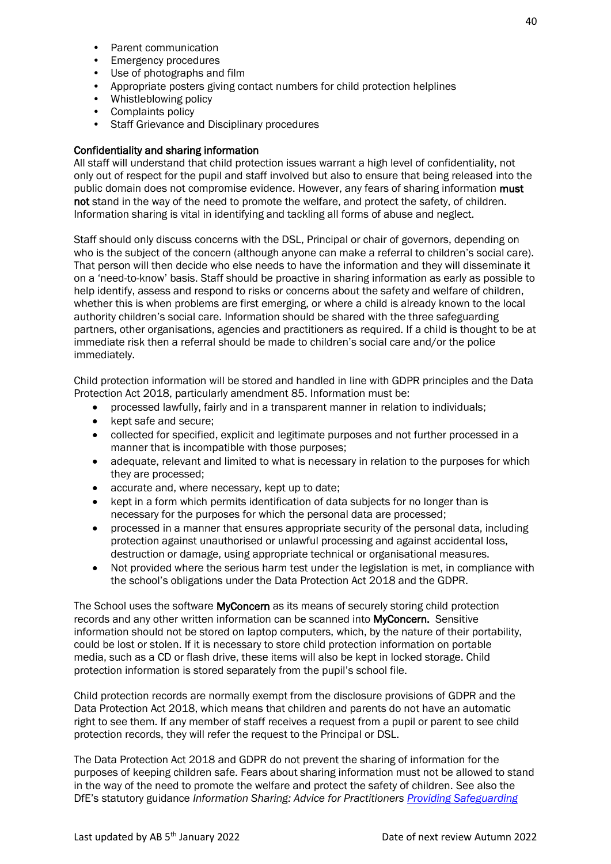- Parent communication
- Emergency procedures
- Use of photographs and film<br>• Appropriate posters giving co
- Appropriate posters giving contact numbers for child protection helplines
- Whistleblowing policy
- Complaints policy
- Staff Grievance and Disciplinary procedures

# Confidentiality and sharing information

All staff will understand that child protection issues warrant a high level of confidentiality, not only out of respect for the pupil and staff involved but also to ensure that being released into the public domain does not compromise evidence. However, any fears of sharing information must not stand in the way of the need to promote the welfare, and protect the safety, of children. Information sharing is vital in identifying and tackling all forms of abuse and neglect.

Staff should only discuss concerns with the DSL, Principal or chair of governors, depending on who is the subject of the concern (although anyone can make a referral to children's social care). That person will then decide who else needs to have the information and they will disseminate it on a 'need-to-know' basis. Staff should be proactive in sharing information as early as possible to help identify, assess and respond to risks or concerns about the safety and welfare of children, whether this is when problems are first emerging, or where a child is already known to the local authority children's social care. Information should be shared with the three safeguarding partners, other organisations, agencies and practitioners as required. If a child is thought to be at immediate risk then a referral should be made to children's social care and/or the police immediately.

Child protection information will be stored and handled in line with GDPR principles and the Data Protection Act 2018, particularly amendment 85. Information must be:

- processed lawfully, fairly and in a transparent manner in relation to individuals;
- kept safe and secure;
- collected for specified, explicit and legitimate purposes and not further processed in a manner that is incompatible with those purposes;
- adequate, relevant and limited to what is necessary in relation to the purposes for which they are processed;
- accurate and, where necessary, kept up to date;
- kept in a form which permits identification of data subjects for no longer than is necessary for the purposes for which the personal data are processed;
- processed in a manner that ensures appropriate security of the personal data, including protection against unauthorised or unlawful processing and against accidental loss, destruction or damage, using appropriate technical or organisational measures.
- Not provided where the serious harm test under the legislation is met, in compliance with the school's obligations under the Data Protection Act 2018 and the GDPR.

The School uses the software **MyConcern** as its means of securely storing child protection records and any other written information can be scanned into MyConcern. Sensitive information should not be stored on laptop computers, which, by the nature of their portability, could be lost or stolen. If it is necessary to store child protection information on portable media, such as a CD or flash drive, these items will also be kept in locked storage. Child protection information is stored separately from the pupil's school file.

Child protection records are normally exempt from the disclosure provisions of GDPR and the Data Protection Act 2018, which means that children and parents do not have an automatic right to see them. If any member of staff receives a request from a pupil or parent to see child protection records, they will refer the request to the Principal or DSL.

The Data Protection Act 2018 and GDPR do not prevent the sharing of information for the purposes of keeping children safe. Fears about sharing information must not be allowed to stand in the way of the need to promote the welfare and protect the safety of children. See also the DfE's statutory guidance *Information Sharing: Advice for Practitioners Providing Safeguarding*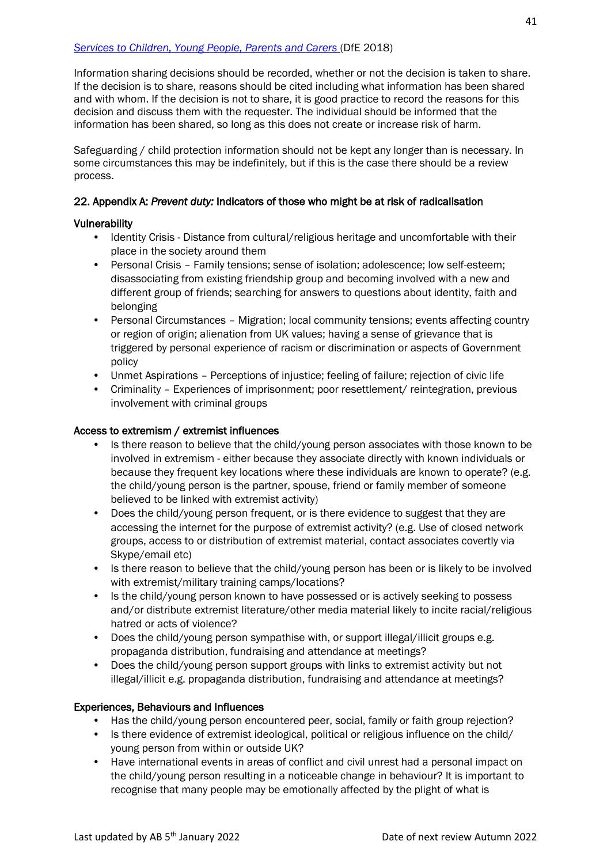Information sharing decisions should be recorded, whether or not the decision is taken to share. If the decision is to share, reasons should be cited including what information has been shared and with whom. If the decision is not to share, it is good practice to record the reasons for this decision and discuss them with the requester. The individual should be informed that the information has been shared, so long as this does not create or increase risk of harm.

Safeguarding / child protection information should not be kept any longer than is necessary. In some circumstances this may be indefinitely, but if this is the case there should be a review process.

# 22. Appendix A: *Prevent duty:* Indicators of those who might be at risk of radicalisation

# **Vulnerability**

- Identity Crisis Distance from cultural/religious heritage and uncomfortable with their place in the society around them
- Personal Crisis Family tensions; sense of isolation; adolescence; low self-esteem; disassociating from existing friendship group and becoming involved with a new and different group of friends; searching for answers to questions about identity, faith and belonging
- Personal Circumstances Migration; local community tensions; events affecting country or region of origin; alienation from UK values; having a sense of grievance that is triggered by personal experience of racism or discrimination or aspects of Government policy
- Unmet Aspirations Perceptions of injustice; feeling of failure; rejection of civic life
- Criminality Experiences of imprisonment; poor resettlement/ reintegration, previous involvement with criminal groups

## Access to extremism / extremist influences

- Is there reason to believe that the child/young person associates with those known to be involved in extremism - either because they associate directly with known individuals or because they frequent key locations where these individuals are known to operate? (e.g. the child/young person is the partner, spouse, friend or family member of someone believed to be linked with extremist activity)
- Does the child/young person frequent, or is there evidence to suggest that they are accessing the internet for the purpose of extremist activity? (e.g. Use of closed network groups, access to or distribution of extremist material, contact associates covertly via Skype/email etc)
- Is there reason to believe that the child/young person has been or is likely to be involved with extremist/military training camps/locations?
- Is the child/young person known to have possessed or is actively seeking to possess and/or distribute extremist literature/other media material likely to incite racial/religious hatred or acts of violence?
- Does the child/young person sympathise with, or support illegal/illicit groups e.g. propaganda distribution, fundraising and attendance at meetings?
- Does the child/young person support groups with links to extremist activity but not illegal/illicit e.g. propaganda distribution, fundraising and attendance at meetings?

## Experiences, Behaviours and Influences

- Has the child/young person encountered peer, social, family or faith group rejection?
- Is there evidence of extremist ideological, political or religious influence on the child/ young person from within or outside UK?
- Have international events in areas of conflict and civil unrest had a personal impact on the child/young person resulting in a noticeable change in behaviour? It is important to recognise that many people may be emotionally affected by the plight of what is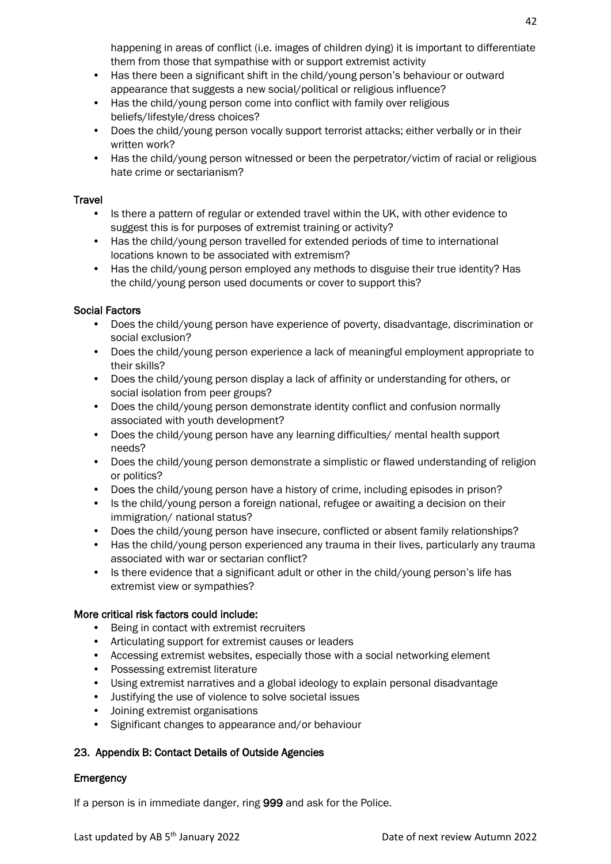happening in areas of conflict (i.e. images of children dying) it is important to differentiate them from those that sympathise with or support extremist activity

- Has there been a significant shift in the child/young person's behaviour or outward appearance that suggests a new social/political or religious influence?
- Has the child/young person come into conflict with family over religious beliefs/lifestyle/dress choices?
- Does the child/young person vocally support terrorist attacks; either verbally or in their written work?
- Has the child/young person witnessed or been the perpetrator/victim of racial or religious hate crime or sectarianism?

# **Travel**

- Is there a pattern of regular or extended travel within the UK, with other evidence to suggest this is for purposes of extremist training or activity?
- Has the child/young person travelled for extended periods of time to international locations known to be associated with extremism?
- Has the child/young person employed any methods to disguise their true identity? Has the child/young person used documents or cover to support this?

# Social Factors

- Does the child/young person have experience of poverty, disadvantage, discrimination or social exclusion?
- Does the child/young person experience a lack of meaningful employment appropriate to their skills?
- Does the child/young person display a lack of affinity or understanding for others, or social isolation from peer groups?
- Does the child/young person demonstrate identity conflict and confusion normally associated with youth development?
- Does the child/young person have any learning difficulties/ mental health support needs?
- Does the child/young person demonstrate a simplistic or flawed understanding of religion or politics?
- Does the child/young person have a history of crime, including episodes in prison?
- Is the child/voung person a foreign national, refugee or awaiting a decision on their immigration/ national status?
- Does the child/young person have insecure, conflicted or absent family relationships?
- Has the child/voung person experienced any trauma in their lives, particularly any trauma associated with war or sectarian conflict?
- Is there evidence that a significant adult or other in the child/young person's life has extremist view or sympathies?

# More critical risk factors could include:

- Being in contact with extremist recruiters
- Articulating support for extremist causes or leaders
- Accessing extremist websites, especially those with a social networking element
- Possessing extremist literature
- Using extremist narratives and a global ideology to explain personal disadvantage
- Justifying the use of violence to solve societal issues
- Joining extremist organisations
- Significant changes to appearance and/or behaviour

# 23. Appendix B: Contact Details of Outside Agencies

# Emergency

If a person is in immediate danger, ring 999 and ask for the Police.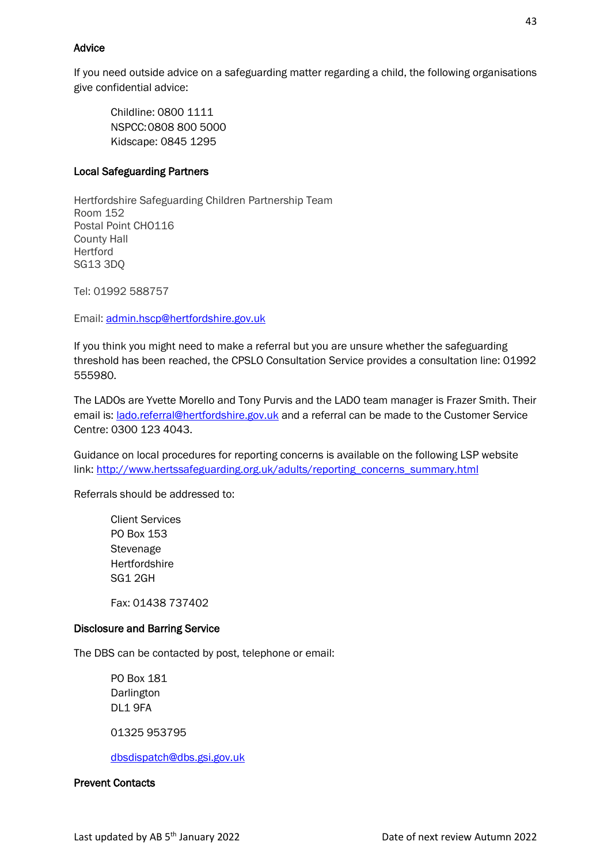# Advice

If you need outside advice on a safeguarding matter regarding a child, the following organisations give confidential advice:

Childline: 0800 1111 NSPCC:0808 800 5000 Kidscape: 0845 1295

# Local Safeguarding Partners

Hertfordshire Safeguarding Children Partnership Team Room 152 Postal Point CHO116 County Hall **Hertford** SG13 3DQ

Tel: 01992 588757

Email: [admin.hscp@hertfordshire.gov.uk](mailto:admin.hscp@hertfordshire.gov.uk)

If you think you might need to make a referral but you are unsure whether the safeguarding threshold has been reached, the CPSLO Consultation Service provides a consultation line: 01992 555980.

The LADOs are Yvette Morello and Tony Purvis and the LADO team manager is Frazer Smith. Their email is: [lado.referral@hertfordshire.gov.uk](mailto:lado.referral@hertfordshire.gov.uk) and a referral can be made to the Customer Service Centre: 0300 123 4043.

Guidance on local procedures for reporting concerns is available on the following LSP website link: [http://www.hertssafeguarding.org.uk/adults/reporting\\_concerns\\_summary.html](http://www.hertssafeguarding.org.uk/adults/reporting_concerns_summary.html)

Referrals should be addressed to:

Client Services PO Box 153 Stevenage Hertfordshire SG1 2GH

Fax: 01438 737402

## Disclosure and Barring Service

The DBS can be contacted by post, telephone or email:

PO Box 181 Darlington DL1 9FA

01325 953795

[dbsdispatch@dbs.gsi.gov.uk](mailto:dbsdispatch@dbs.gsi.gov.uk)

## Prevent Contacts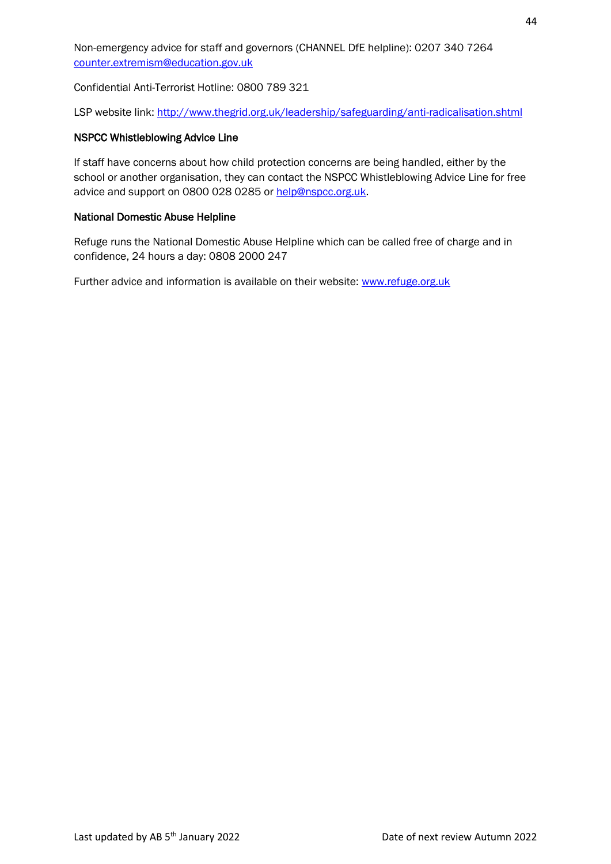Non-emergency advice for staff and governors (CHANNEL DfE helpline): 0207 340 7264 [counter.extremism@education.gov.uk](mailto:counter.extremism@education.gov.uk)

Confidential Anti-Terrorist Hotline: 0800 789 321

LSP website link:<http://www.thegrid.org.uk/leadership/safeguarding/anti-radicalisation.shtml>

#### NSPCC Whistleblowing Advice Line

If staff have concerns about how child protection concerns are being handled, either by the school or another organisation, they can contact the NSPCC Whistleblowing Advice Line for free advice and support on 0800 028 0285 or [help@nspcc.org.uk.](mailto:help@nspcc.org.uk)

#### National Domestic Abuse Helpline

Refuge runs the National Domestic Abuse Helpline which can be called free of charge and in confidence, 24 hours a day: 0808 2000 247

Further advice and information is available on their website: [www.refuge.org.uk](http://www.refuge.org.uk/)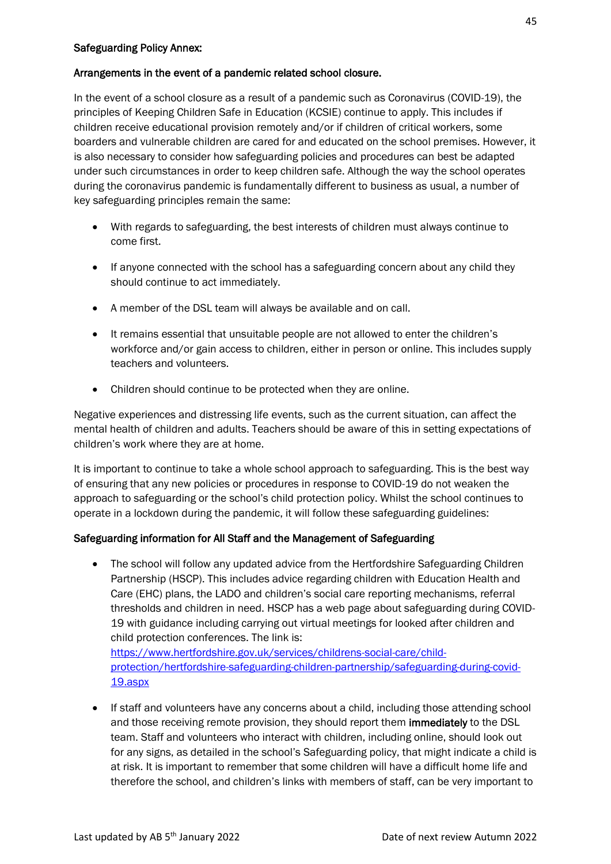# Safeguarding Policy Annex:

## Arrangements in the event of a pandemic related school closure.

In the event of a school closure as a result of a pandemic such as Coronavirus (COVID-19), the principles of Keeping Children Safe in Education (KCSIE) continue to apply. This includes if children receive educational provision remotely and/or if children of critical workers, some boarders and vulnerable children are cared for and educated on the school premises. However, it is also necessary to consider how safeguarding policies and procedures can best be adapted under such circumstances in order to keep children safe. Although the way the school operates during the coronavirus pandemic is fundamentally different to business as usual, a number of key safeguarding principles remain the same:

- With regards to safeguarding, the best interests of children must always continue to come first.
- If anyone connected with the school has a safeguarding concern about any child they should continue to act immediately.
- A member of the DSL team will always be available and on call.
- It remains essential that unsuitable people are not allowed to enter the children's workforce and/or gain access to children, either in person or online. This includes supply teachers and volunteers.
- Children should continue to be protected when they are online.

Negative experiences and distressing life events, such as the current situation, can affect the mental health of children and adults. Teachers should be aware of this in setting expectations of children's work where they are at home.

It is important to continue to take a whole school approach to safeguarding. This is the best way of ensuring that any new policies or procedures in response to COVID-19 do not weaken the approach to safeguarding or the school's child protection policy. Whilst the school continues to operate in a lockdown during the pandemic, it will follow these safeguarding guidelines:

# Safeguarding information for All Staff and the Management of Safeguarding

 The school will follow any updated advice from the Hertfordshire Safeguarding Children Partnership (HSCP). This includes advice regarding children with Education Health and Care (EHC) plans, the LADO and children's social care reporting mechanisms, referral thresholds and children in need. HSCP has a web page about safeguarding during COVID-19 with guidance including carrying out virtual meetings for looked after children and child protection conferences. The link is: [https://www.hertfordshire.gov.uk/services/childrens-social-care/child-](https://www.hertfordshire.gov.uk/services/childrens-social-care/child-protection/hertfordshire-safeguarding-children-partnership/safeguarding-during-covid-19.aspx)

[protection/hertfordshire-safeguarding-children-partnership/safeguarding-during-covid-](https://www.hertfordshire.gov.uk/services/childrens-social-care/child-protection/hertfordshire-safeguarding-children-partnership/safeguarding-during-covid-19.aspx)[19.aspx](https://www.hertfordshire.gov.uk/services/childrens-social-care/child-protection/hertfordshire-safeguarding-children-partnership/safeguarding-during-covid-19.aspx)

• If staff and volunteers have any concerns about a child, including those attending school and those receiving remote provision, they should report them immediately to the DSL team. Staff and volunteers who interact with children, including online, should look out for any signs, as detailed in the school's Safeguarding policy, that might indicate a child is at risk. It is important to remember that some children will have a difficult home life and therefore the school, and children's links with members of staff, can be very important to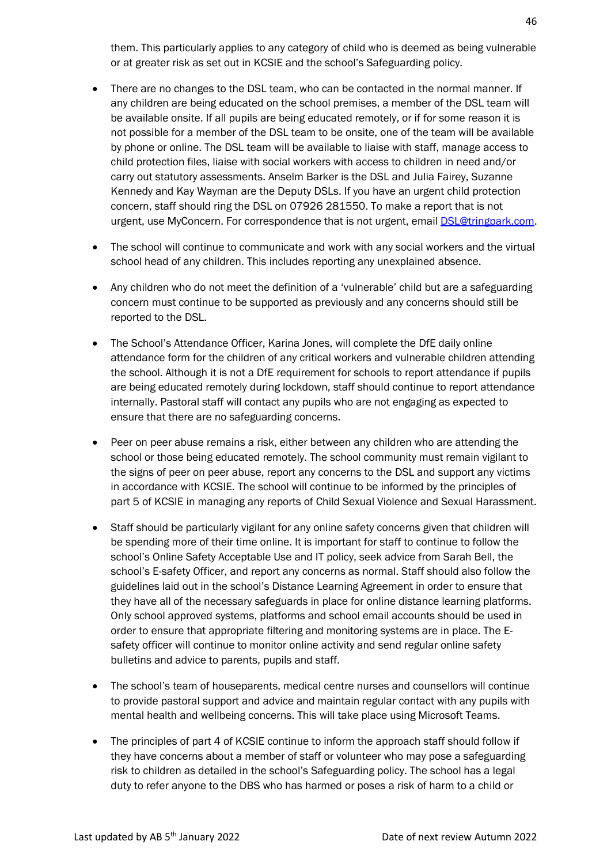them. This particularly applies to any category of child who is deemed as being vulnerable or at greater risk as set out in KCSIE and the school's Safeguarding policy.

- There are no changes to the DSL team, who can be contacted in the normal manner. If any children are being educated on the school premises, a member of the DSL team will be available onsite. If all pupils are being educated remotely, or if for some reason it is not possible for a member of the DSL team to be onsite, one of the team will be available by phone or online. The DSL team will be available to liaise with staff, manage access to child protection files, liaise with social workers with access to children in need and/or carry out statutory assessments. Anselm Barker is the DSL and Julia Fairey, Suzanne Kennedy and Kay Wayman are the Deputy DSLs. If you have an urgent child protection concern, staff should ring the DSL on 07926 281550. To make a report that is not urgent, use MyConcern. For correspondence that is not urgent, email [DSL@tringpark.com.](mailto:dsp@tringpark.com)
- The school will continue to communicate and work with any social workers and the virtual school head of any children. This includes reporting any unexplained absence.
- Any children who do not meet the definition of a 'vulnerable' child but are a safeguarding concern must continue to be supported as previously and any concerns should still be reported to the DSL.
- The School's Attendance Officer, Karina Jones, will complete the DfE daily online attendance form for the children of any critical workers and vulnerable children attending the school. Although it is not a DfE requirement for schools to report attendance if pupils are being educated remotely during lockdown, staff should continue to report attendance internally. Pastoral staff will contact any pupils who are not engaging as expected to ensure that there are no safeguarding concerns.
- Peer on peer abuse remains a risk, either between any children who are attending the school or those being educated remotely. The school community must remain vigilant to the signs of peer on peer abuse, report any concerns to the DSL and support any victims in accordance with KCSIE. The school will continue to be informed by the principles of part 5 of KCSIE in managing any reports of Child Sexual Violence and Sexual Harassment.
- Staff should be particularly vigilant for any online safety concerns given that children will be spending more of their time online. It is important for staff to continue to follow the school's Online Safety Acceptable Use and IT policy, seek advice from Sarah Bell, the school's E-safety Officer, and report any concerns as normal. Staff should also follow the guidelines laid out in the school's Distance Learning Agreement in order to ensure that they have all of the necessary safeguards in place for online distance learning platforms. Only school approved systems, platforms and school email accounts should be used in order to ensure that appropriate filtering and monitoring systems are in place. The Esafety officer will continue to monitor online activity and send regular online safety bulletins and advice to parents, pupils and staff.
- The school's team of houseparents, medical centre nurses and counsellors will continue to provide pastoral support and advice and maintain regular contact with any pupils with mental health and wellbeing concerns. This will take place using Microsoft Teams.
- The principles of part 4 of KCSIE continue to inform the approach staff should follow if they have concerns about a member of staff or volunteer who may pose a safeguarding risk to children as detailed in the school's Safeguarding policy. The school has a legal duty to refer anyone to the DBS who has harmed or poses a risk of harm to a child or